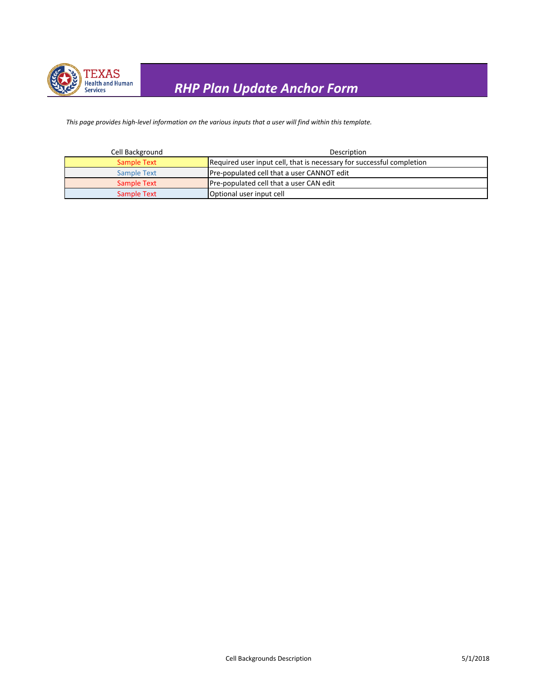

# *RHP Plan Update Anchor Form*

This page provides high-level information on the various inputs that a user will find within this template.

| Cell Background    | Description                                                           |
|--------------------|-----------------------------------------------------------------------|
| <b>Sample Text</b> | Required user input cell, that is necessary for successful completion |
| <b>Sample Text</b> | Pre-populated cell that a user CANNOT edit                            |
| <b>Sample Text</b> | Pre-populated cell that a user CAN edit                               |
| Sample Text        | Optional user input cell                                              |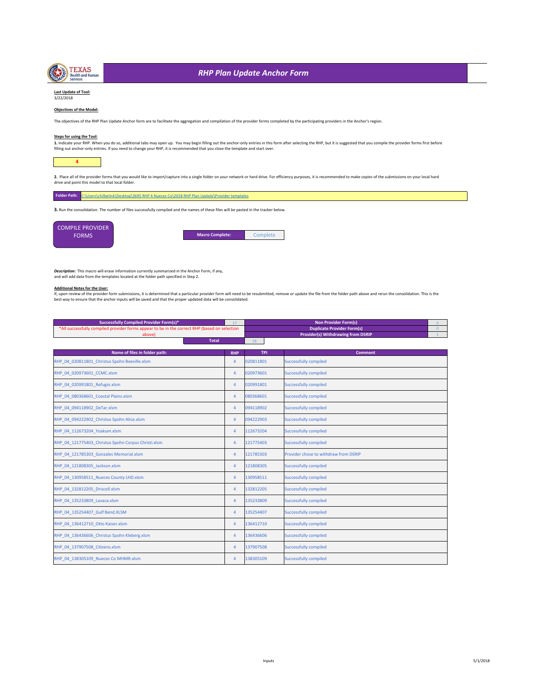

## *RHP Plan Update Anchor Form*

# **Last Update of Tool:** 3/22/2018

#### **Objectives of the Model:**

The objectives of the RHP Plan Update Anchor form are to facilitate the aggregation and compilation of the provider forms completed by the participating providers in the Anchor's region.

S**teps for using the Too!:**<br>1. Indicate your RHP. When you do so, additional tabs may open up. You may begin filling out the anchor-only entries in this form after selecting the RHP, but it is suggested that you compile th

**4**

**2.** Place all of the provider forms that you would like to import/capture into a single folder on your network or hard drive. For efficiency purposes, it is recommended to make copies of the submissions on your local hard

| Folder Path: C:\Users\chilbelink\Desktop\3695 RHP 4 Nueces Co\2018 RHP Plan Update\Provider templates                                 |
|---------------------------------------------------------------------------------------------------------------------------------------|
| 3. Run the consolidation. The number of files successfully compiled and the names of these files will be pasted in the tracker below. |



**Description:** This macro will erase information currently summarized in the Anchor Form, if any,<br>and will add data from the templates located at the folder path specified in Step 2.

**Additional Notes for the User:**<br>If, upon review of the provider form submissions, it is determined that a particular provider form will need to be resubmitted, remove or update the file from the folder path above and reru

| Successfully Compiled Provider Form(s)*                                                       | 17             | <b>Non Provider Form(s)</b><br>$\overline{0}$               |                                       |  |  |  |  |
|-----------------------------------------------------------------------------------------------|----------------|-------------------------------------------------------------|---------------------------------------|--|--|--|--|
| *All successfully compiled provider forms appear to be in the correct RHP (based on selection |                | <b>Duplicate Provider Form(s)</b><br>$\mathbf{0}$           |                                       |  |  |  |  |
| above)                                                                                        |                | <b>Provider(s) Withdrawing from DSRIP</b><br>$\overline{1}$ |                                       |  |  |  |  |
|                                                                                               | <b>Total</b>   | 18                                                          |                                       |  |  |  |  |
| Name of files in folder path:                                                                 | <b>RHP</b>     | <b>TPI</b>                                                  | Comment                               |  |  |  |  |
| RHP_04_020811801_Christus Spohn Beeville.xlsm                                                 | 4              | 020811801                                                   | <b>Successfully compiled</b>          |  |  |  |  |
| RHP 04 020973601 CCMC.xlsm                                                                    | 4              | 020973601                                                   | <b>Successfully compiled</b>          |  |  |  |  |
| RHP_04_020991801_Refugio.xlsm                                                                 | 4              | 020991801                                                   | <b>Successfully compiled</b>          |  |  |  |  |
| RHP 04 080368601 Coastal Plains.xlsm                                                          | 4              | 080368601                                                   | <b>Successfully compiled</b>          |  |  |  |  |
| RHP 04 094118902 DeTar.xlsm                                                                   | 4              | 094118902                                                   | <b>Successfully compiled</b>          |  |  |  |  |
| RHP 04 094222902 Christus Spohn Alice.xlsm                                                    | $\overline{4}$ | 094222903                                                   | <b>Successfully compiled</b>          |  |  |  |  |
| RHP 04 112673204 Yoakum.xlsm                                                                  | 4              | 112673204                                                   | <b>Successfully compiled</b>          |  |  |  |  |
| RHP 04 121775403 Christus Spohn Corpus Christi.xlsm                                           | 4              | 121775403                                                   | <b>Successfully compiled</b>          |  |  |  |  |
| RHP 04 121785303 Gonzales Memorial.xlsm                                                       | 4              | 121785303                                                   | Provider chose to withdraw from DSRIP |  |  |  |  |
| RHP_04_121808305_Jackson.xlsm                                                                 | 4              | 121808305                                                   | <b>Successfully compiled</b>          |  |  |  |  |
| RHP 04 130958511 Nueces County LHD.xlsm                                                       | 4              | 130958511                                                   | <b>Successfully compiled</b>          |  |  |  |  |
| RHP_04_132812205_Driscoll.xlsm                                                                | 4              | 132812205                                                   | <b>Successfully compiled</b>          |  |  |  |  |
| RHP 04 135233809 Lavaca.xlsm                                                                  | 4              | 135233809                                                   | <b>Successfully compiled</b>          |  |  |  |  |
| RHP_04_135254407_Gulf Bend.XLSM                                                               | 4              | 135254407                                                   | <b>Successfully compiled</b>          |  |  |  |  |
| RHP 04 136412710 Otto Kaiser.xlsm                                                             | $\overline{4}$ | 136412710                                                   | <b>Successfully compiled</b>          |  |  |  |  |
| RHP 04 136436606 Christus Spohn Kleberg.xlsm                                                  | $\overline{4}$ | 136436606                                                   | <b>Successfully compiled</b>          |  |  |  |  |
| RHP 04 137907508 Citizens.xlsm                                                                | 4              | 137907508                                                   | <b>Successfully compiled</b>          |  |  |  |  |
| RHP 04 138305109 Nueces Co MHMR.xlsm                                                          | 4              | 138305109                                                   | <b>Successfully compiled</b>          |  |  |  |  |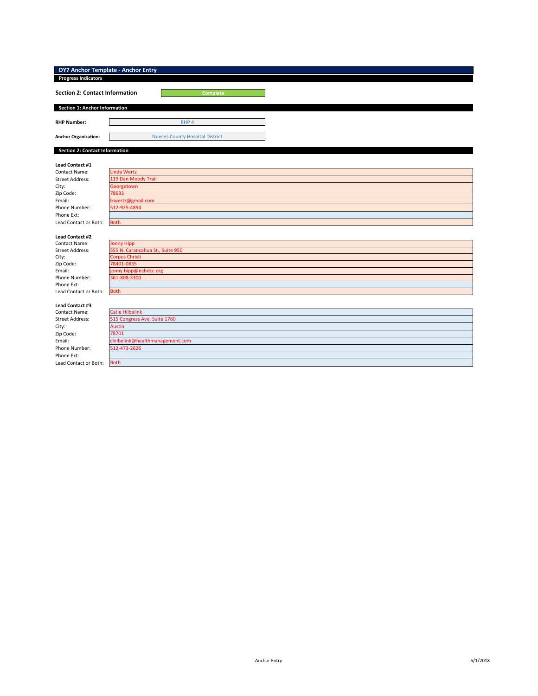| DY7 Anchor Template - Anchor Entry                                                                                                                                                                                                                                                                                                                                           |                                                                                                                                                                                                                                                                                                          |
|------------------------------------------------------------------------------------------------------------------------------------------------------------------------------------------------------------------------------------------------------------------------------------------------------------------------------------------------------------------------------|----------------------------------------------------------------------------------------------------------------------------------------------------------------------------------------------------------------------------------------------------------------------------------------------------------|
| <b>Progress Indicators</b>                                                                                                                                                                                                                                                                                                                                                   |                                                                                                                                                                                                                                                                                                          |
|                                                                                                                                                                                                                                                                                                                                                                              |                                                                                                                                                                                                                                                                                                          |
| <b>Section 2: Contact Information</b>                                                                                                                                                                                                                                                                                                                                        | <b>Complete</b>                                                                                                                                                                                                                                                                                          |
|                                                                                                                                                                                                                                                                                                                                                                              |                                                                                                                                                                                                                                                                                                          |
| Section 1: Anchor Information                                                                                                                                                                                                                                                                                                                                                |                                                                                                                                                                                                                                                                                                          |
| <b>RHP Number:</b>                                                                                                                                                                                                                                                                                                                                                           | RHP <sub>4</sub>                                                                                                                                                                                                                                                                                         |
|                                                                                                                                                                                                                                                                                                                                                                              |                                                                                                                                                                                                                                                                                                          |
| <b>Anchor Organization:</b>                                                                                                                                                                                                                                                                                                                                                  | <b>Nueces County Hospital District</b>                                                                                                                                                                                                                                                                   |
| <b>Section 2: Contact Information</b>                                                                                                                                                                                                                                                                                                                                        |                                                                                                                                                                                                                                                                                                          |
|                                                                                                                                                                                                                                                                                                                                                                              |                                                                                                                                                                                                                                                                                                          |
| <b>Lead Contact #1</b>                                                                                                                                                                                                                                                                                                                                                       |                                                                                                                                                                                                                                                                                                          |
|                                                                                                                                                                                                                                                                                                                                                                              |                                                                                                                                                                                                                                                                                                          |
|                                                                                                                                                                                                                                                                                                                                                                              |                                                                                                                                                                                                                                                                                                          |
|                                                                                                                                                                                                                                                                                                                                                                              |                                                                                                                                                                                                                                                                                                          |
|                                                                                                                                                                                                                                                                                                                                                                              |                                                                                                                                                                                                                                                                                                          |
|                                                                                                                                                                                                                                                                                                                                                                              |                                                                                                                                                                                                                                                                                                          |
|                                                                                                                                                                                                                                                                                                                                                                              |                                                                                                                                                                                                                                                                                                          |
|                                                                                                                                                                                                                                                                                                                                                                              |                                                                                                                                                                                                                                                                                                          |
|                                                                                                                                                                                                                                                                                                                                                                              |                                                                                                                                                                                                                                                                                                          |
|                                                                                                                                                                                                                                                                                                                                                                              |                                                                                                                                                                                                                                                                                                          |
|                                                                                                                                                                                                                                                                                                                                                                              |                                                                                                                                                                                                                                                                                                          |
|                                                                                                                                                                                                                                                                                                                                                                              |                                                                                                                                                                                                                                                                                                          |
|                                                                                                                                                                                                                                                                                                                                                                              |                                                                                                                                                                                                                                                                                                          |
|                                                                                                                                                                                                                                                                                                                                                                              |                                                                                                                                                                                                                                                                                                          |
|                                                                                                                                                                                                                                                                                                                                                                              |                                                                                                                                                                                                                                                                                                          |
|                                                                                                                                                                                                                                                                                                                                                                              |                                                                                                                                                                                                                                                                                                          |
|                                                                                                                                                                                                                                                                                                                                                                              |                                                                                                                                                                                                                                                                                                          |
|                                                                                                                                                                                                                                                                                                                                                                              |                                                                                                                                                                                                                                                                                                          |
|                                                                                                                                                                                                                                                                                                                                                                              |                                                                                                                                                                                                                                                                                                          |
|                                                                                                                                                                                                                                                                                                                                                                              |                                                                                                                                                                                                                                                                                                          |
| Contact Name:                                                                                                                                                                                                                                                                                                                                                                | <b>Catie Hilbelink</b>                                                                                                                                                                                                                                                                                   |
| <b>Street Address:</b>                                                                                                                                                                                                                                                                                                                                                       | 515 Congress Ave, Suite 1760                                                                                                                                                                                                                                                                             |
|                                                                                                                                                                                                                                                                                                                                                                              | <b>Austin</b>                                                                                                                                                                                                                                                                                            |
|                                                                                                                                                                                                                                                                                                                                                                              | 78701                                                                                                                                                                                                                                                                                                    |
| Email:                                                                                                                                                                                                                                                                                                                                                                       |                                                                                                                                                                                                                                                                                                          |
| Phone Number:                                                                                                                                                                                                                                                                                                                                                                | 512-473-2626                                                                                                                                                                                                                                                                                             |
|                                                                                                                                                                                                                                                                                                                                                                              |                                                                                                                                                                                                                                                                                                          |
|                                                                                                                                                                                                                                                                                                                                                                              | <b>Both</b>                                                                                                                                                                                                                                                                                              |
| Contact Name:<br>Street Address:<br>City:<br>Zip Code:<br>Email:<br>Phone Number:<br>Phone Ext:<br>Lead Contact or Both:<br><b>Lead Contact #2</b><br>Contact Name:<br><b>Street Address:</b><br>City:<br>Zip Code:<br>Email:<br>Phone Number:<br>Phone Ext:<br>Lead Contact or Both:<br><b>Lead Contact #3</b><br>City:<br>Zip Code:<br>Phone Ext:<br>Lead Contact or Both: | <b>Linda Wertz</b><br>119 Dan Moody Trail<br>Georgetown<br>78633<br>lkwertz@gmail.com<br>512-925-4894<br><b>Both</b><br><b>Jonny Hipp</b><br>555 N. Carancahua St., Suite 950<br>Corpus Christi<br>78401-0835<br>jonny.hipp@nchdcc.org<br>361-808-3300<br><b>Both</b><br>chilbelink@healthmanagement.com |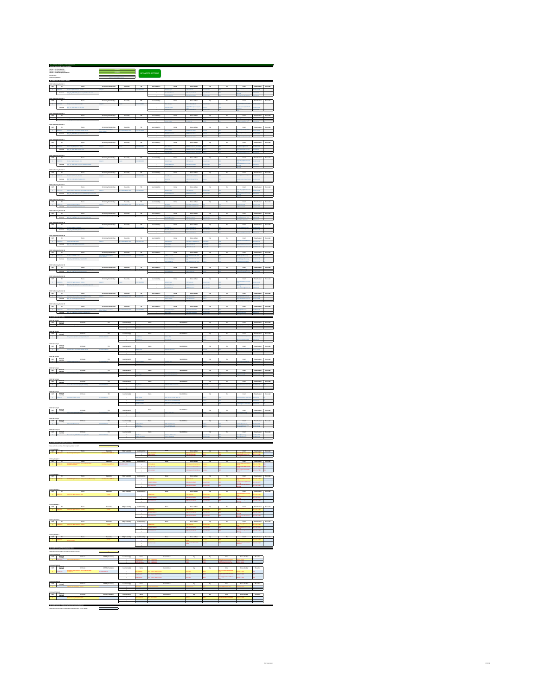| DFJ Andres<br>Margaretan<br>Sertion & UC Coly Hospitals<br>Sertion & UC Coly Virginia<br>Sertion & Columnwing Draw<br>E<br>ADVANCE TO SECTION 3<br>F                                                                                                                                                                                                                                                                                                                                                                                                                                                         |  |
|--------------------------------------------------------------------------------------------------------------------------------------------------------------------------------------------------------------------------------------------------------------------------------------------------------------------------------------------------------------------------------------------------------------------------------------------------------------------------------------------------------------------------------------------------------------------------------------------------------------|--|
|                                                                                                                                                                                                                                                                                                                                                                                                                                                                                                                                                                                                              |  |
|                                                                                                                                                                                                                                                                                                                                                                                                                                                                                                                                                                                                              |  |
|                                                                                                                                                                                                                                                                                                                                                                                                                                                                                                                                                                                                              |  |
|                                                                                                                                                                                                                                                                                                                                                                                                                                                                                                                                                                                                              |  |
|                                                                                                                                                                                                                                                                                                                                                                                                                                                                                                                                                                                                              |  |
|                                                                                                                                                                                                                                                                                                                                                                                                                                                                                                                                                                                                              |  |
|                                                                                                                                                                                                                                                                                                                                                                                                                                                                                                                                                                                                              |  |
|                                                                                                                                                                                                                                                                                                                                                                                                                                                                                                                                                                                                              |  |
| $\frac{30}{2}$                                                                                                                                                                                                                                                                                                                                                                                                                                                                                                                                                                                               |  |
|                                                                                                                                                                                                                                                                                                                                                                                                                                                                                                                                                                                                              |  |
| $\begin{array}{ c } \hline \multicolumn{1}{ }{\textbf{1}} \\ \hline \multicolumn{1}{ }{\textbf{2}} \\ \hline \multicolumn{1}{ }{\textbf{3}} \\ \hline \multicolumn{1}{ }{\textbf{4}} \\ \hline \multicolumn{1}{ }{\textbf{5}} \\ \hline \multicolumn{1}{ }{\textbf{6}} \\ \hline \multicolumn{1}{ }{\textbf{5}} \\ \hline \multicolumn{1}{ }{\textbf{6}} \\ \hline \multicolumn{1}{ }{\textbf{6}} \\ \hline \multicolumn{1}{ }{\textbf{7}} \\ \hline \multicolumn{1}{ }{\textbf{8}} \\ \h$                                                                                                                   |  |
|                                                                                                                                                                                                                                                                                                                                                                                                                                                                                                                                                                                                              |  |
| ×<br>o,<br>٠<br>×<br>⊶                                                                                                                                                                                                                                                                                                                                                                                                                                                                                                                                                                                       |  |
| $\begin{array}{c}\n\cdots \\ \hline\n\end{array}$                                                                                                                                                                                                                                                                                                                                                                                                                                                                                                                                                            |  |
|                                                                                                                                                                                                                                                                                                                                                                                                                                                                                                                                                                                                              |  |
|                                                                                                                                                                                                                                                                                                                                                                                                                                                                                                                                                                                                              |  |
|                                                                                                                                                                                                                                                                                                                                                                                                                                                                                                                                                                                                              |  |
|                                                                                                                                                                                                                                                                                                                                                                                                                                                                                                                                                                                                              |  |
| Ē                                                                                                                                                                                                                                                                                                                                                                                                                                                                                                                                                                                                            |  |
|                                                                                                                                                                                                                                                                                                                                                                                                                                                                                                                                                                                                              |  |
| E                                                                                                                                                                                                                                                                                                                                                                                                                                                                                                                                                                                                            |  |
|                                                                                                                                                                                                                                                                                                                                                                                                                                                                                                                                                                                                              |  |
|                                                                                                                                                                                                                                                                                                                                                                                                                                                                                                                                                                                                              |  |
| Ē                                                                                                                                                                                                                                                                                                                                                                                                                                                                                                                                                                                                            |  |
|                                                                                                                                                                                                                                                                                                                                                                                                                                                                                                                                                                                                              |  |
|                                                                                                                                                                                                                                                                                                                                                                                                                                                                                                                                                                                                              |  |
|                                                                                                                                                                                                                                                                                                                                                                                                                                                                                                                                                                                                              |  |
| E                                                                                                                                                                                                                                                                                                                                                                                                                                                                                                                                                                                                            |  |
|                                                                                                                                                                                                                                                                                                                                                                                                                                                                                                                                                                                                              |  |
| Ē                                                                                                                                                                                                                                                                                                                                                                                                                                                                                                                                                                                                            |  |
|                                                                                                                                                                                                                                                                                                                                                                                                                                                                                                                                                                                                              |  |
|                                                                                                                                                                                                                                                                                                                                                                                                                                                                                                                                                                                                              |  |
|                                                                                                                                                                                                                                                                                                                                                                                                                                                                                                                                                                                                              |  |
|                                                                                                                                                                                                                                                                                                                                                                                                                                                                                                                                                                                                              |  |
| Ē                                                                                                                                                                                                                                                                                                                                                                                                                                                                                                                                                                                                            |  |
|                                                                                                                                                                                                                                                                                                                                                                                                                                                                                                                                                                                                              |  |
| $\begin{array}{c}\n\hline\n\text{cos } \theta \\ \hline\n\text{cos } \theta\n\end{array}$                                                                                                                                                                                                                                                                                                                                                                                                                                                                                                                    |  |
|                                                                                                                                                                                                                                                                                                                                                                                                                                                                                                                                                                                                              |  |
| $\begin{array}{c} \hline \text{non} \\ \text{non} \\ \hline \end{array}$<br>$\frac{1}{2}$                                                                                                                                                                                                                                                                                                                                                                                                                                                                                                                    |  |
|                                                                                                                                                                                                                                                                                                                                                                                                                                                                                                                                                                                                              |  |
|                                                                                                                                                                                                                                                                                                                                                                                                                                                                                                                                                                                                              |  |
| $\begin{array}{c}\n\hline\n\text{0.02} & \text{0.04} \\ \hline\n\end{array}$                                                                                                                                                                                                                                                                                                                                                                                                                                                                                                                                 |  |
|                                                                                                                                                                                                                                                                                                                                                                                                                                                                                                                                                                                                              |  |
| $\begin{tabular}{ c c c } \hline ${{\rm CMB}}_1$ & ${{\rm CMB}}_2$ \\ \hline & ${{\rm SO}}^2$ & ${\rm CMB}}_1$ \\ & ${{\rm SO}}^2$ & ${\rm CMB}}_2$ \\ & ${{\rm SO}}^2$ & ${\rm CMB}}_2$ \\ \hline \end{tabular}$                                                                                                                                                                                                                                                                                                                                                                                            |  |
|                                                                                                                                                                                                                                                                                                                                                                                                                                                                                                                                                                                                              |  |
|                                                                                                                                                                                                                                                                                                                                                                                                                                                                                                                                                                                                              |  |
|                                                                                                                                                                                                                                                                                                                                                                                                                                                                                                                                                                                                              |  |
|                                                                                                                                                                                                                                                                                                                                                                                                                                                                                                                                                                                                              |  |
|                                                                                                                                                                                                                                                                                                                                                                                                                                                                                                                                                                                                              |  |
| $\begin{tabular}{ c c } \hline $\cdots$ & $\cdots$ \\ \hline $\cdots$ & $\cdots$ \\ \hline \end{tabular}$                                                                                                                                                                                                                                                                                                                                                                                                                                                                                                    |  |
|                                                                                                                                                                                                                                                                                                                                                                                                                                                                                                                                                                                                              |  |
| $\begin{array}{c} \begin{array}{c} \cos \alpha \leftrightarrow \\ \hline \end{array} \end{array}$                                                                                                                                                                                                                                                                                                                                                                                                                                                                                                            |  |
|                                                                                                                                                                                                                                                                                                                                                                                                                                                                                                                                                                                                              |  |
| $\begin{array}{c} 000 \times 10^{11} \\ 0 \\ 0 \\ 0 \\ \hline \end{array}$                                                                                                                                                                                                                                                                                                                                                                                                                                                                                                                                   |  |
|                                                                                                                                                                                                                                                                                                                                                                                                                                                                                                                                                                                                              |  |
| $\frac{1}{10}$                                                                                                                                                                                                                                                                                                                                                                                                                                                                                                                                                                                               |  |
|                                                                                                                                                                                                                                                                                                                                                                                                                                                                                                                                                                                                              |  |
| $\begin{array}{c}\n\frac{1}{2} \\ \frac{1}{2} \\ \frac{1}{2}\n\end{array}$<br>actings<br>minimo<br>Haalt                                                                                                                                                                                                                                                                                                                                                                                                                                                                                                     |  |
|                                                                                                                                                                                                                                                                                                                                                                                                                                                                                                                                                                                                              |  |
| $\begin{array}{c} 699-674 \\ 389 \end{array}$                                                                                                                                                                                                                                                                                                                                                                                                                                                                                                                                                                |  |
|                                                                                                                                                                                                                                                                                                                                                                                                                                                                                                                                                                                                              |  |
| $\begin{array}{c} \hline \text{cos of to} \\ \hline \text{cos} \end{array}$                                                                                                                                                                                                                                                                                                                                                                                                                                                                                                                                  |  |
|                                                                                                                                                                                                                                                                                                                                                                                                                                                                                                                                                                                                              |  |
| $rac{1000 \times 10^{6} \text{ m}}{400}$                                                                                                                                                                                                                                                                                                                                                                                                                                                                                                                                                                     |  |
|                                                                                                                                                                                                                                                                                                                                                                                                                                                                                                                                                                                                              |  |
| F<br>a,                                                                                                                                                                                                                                                                                                                                                                                                                                                                                                                                                                                                      |  |
| and the Second Second Second Second Second Second Second Second Second Second Second Second Second Second Second Second Second Second Second Second Second Second Second Second Second Second Second Second Second Second Seco<br>and the contract of the contract of the contract of the contract of the contract of the contract of the contract of the contract of the contract of the contract of the contract of the contract of the contract of the contra                                                                                                                                             |  |
| <u>. 1900 - 1900 - 1900 - 1900 - 1900 - 1900 - 1900 - 1900 - 1900 - 1900 - 1900 - 1900 - 1900 - 1900 - 1900 - 19</u><br>1900 - 1900 - 1900 - 1900 - 1900 - 1900 - 1900 - 1900 - 1900 - 1900 - 1900 - 1900 - 1900 - 1900 - 1900 - 1900<br>                                                                                                                                                                                                                                                                                                                                                                    |  |
| ÷<br><b>Section Send Foll</b><br>.<br>1962 Sarini da Canain                                                                                                                                                                                                                                                                                                                                                                                                                                                                                                                                                  |  |
| $\begin{tabular}{ c c c } \hline & $\alpha$ & $\alpha$ & $\alpha$ \\ \hline $\alpha$ & $\alpha$ & $\alpha$ \\ \hline $\alpha$ & $\alpha$ & $\alpha$ \\ \hline $\alpha$ & $\alpha$ & $\alpha$ \\ \hline $\alpha$ & $\alpha$ & $\alpha$ \\ \hline $\alpha$ & $\alpha$ & $\alpha$ \\ \hline $\alpha$ & $\alpha$ & $\alpha$ \\ \hline $\alpha$ & $\alpha$ & $\alpha$ \\ \hline $\alpha$ & $\alpha$ & $\alpha$ \\ \hline $\alpha$ & $\alpha$ & $\alpha$ \\ \hline $\alpha$ & $\alpha$ & $\alpha$ \\ \hline $\alpha$ & $\alpha$ & $\alpha$ \\ \hline $\alpha$ & $\alpha$ & $\alpha$ \\ \hline $\alpha$ & $\alpha$$ |  |
|                                                                                                                                                                                                                                                                                                                                                                                                                                                                                                                                                                                                              |  |
|                                                                                                                                                                                                                                                                                                                                                                                                                                                                                                                                                                                                              |  |
|                                                                                                                                                                                                                                                                                                                                                                                                                                                                                                                                                                                                              |  |
| F                                                                                                                                                                                                                                                                                                                                                                                                                                                                                                                                                                                                            |  |
|                                                                                                                                                                                                                                                                                                                                                                                                                                                                                                                                                                                                              |  |
|                                                                                                                                                                                                                                                                                                                                                                                                                                                                                                                                                                                                              |  |
| T                                                                                                                                                                                                                                                                                                                                                                                                                                                                                                                                                                                                            |  |
|                                                                                                                                                                                                                                                                                                                                                                                                                                                                                                                                                                                                              |  |
| T                                                                                                                                                                                                                                                                                                                                                                                                                                                                                                                                                                                                            |  |
|                                                                                                                                                                                                                                                                                                                                                                                                                                                                                                                                                                                                              |  |
| Ĩ                                                                                                                                                                                                                                                                                                                                                                                                                                                                                                                                                                                                            |  |
| F<br><u>in Sta</u>                                                                                                                                                                                                                                                                                                                                                                                                                                                                                                                                                                                           |  |
|                                                                                                                                                                                                                                                                                                                                                                                                                                                                                                                                                                                                              |  |
| $\blacksquare$<br>$\overline{\phantom{0}}$                                                                                                                                                                                                                                                                                                                                                                                                                                                                                                                                                                   |  |
| <b>STRP</b> edite)                                                                                                                                                                                                                                                                                                                                                                                                                                                                                                                                                                                           |  |
| F                                                                                                                                                                                                                                                                                                                                                                                                                                                                                                                                                                                                            |  |
| inal Estados<br>$\frac{1}{\sinh \theta}$                                                                                                                                                                                                                                                                                                                                                                                                                                                                                                                                                                     |  |
|                                                                                                                                                                                                                                                                                                                                                                                                                                                                                                                                                                                                              |  |
| <b>Continental</b>                                                                                                                                                                                                                                                                                                                                                                                                                                                                                                                                                                                           |  |
| STR (Fashin)                                                                                                                                                                                                                                                                                                                                                                                                                                                                                                                                                                                                 |  |
| arta pada<br>1980 - Paul Barata                                                                                                                                                                                                                                                                                                                                                                                                                                                                                                                                                                              |  |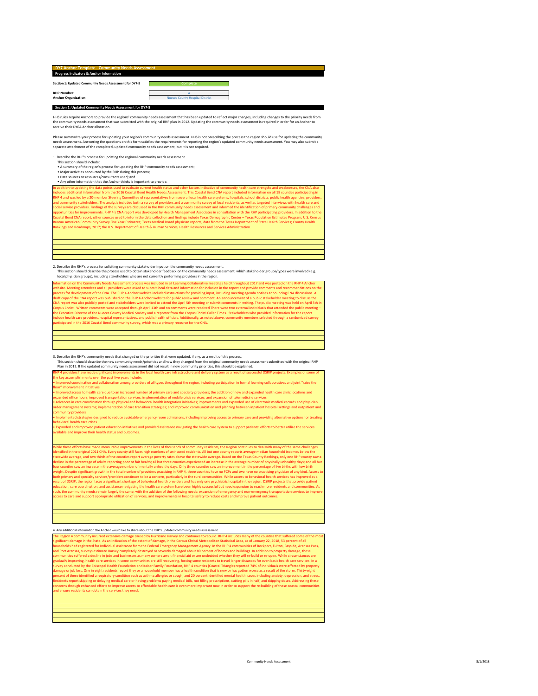| <b>Nueces County Hospital District</b><br>This section should include:<br>. A summary of the region's process for updating the RHP community needs assessment;<br>. Major activities conducted by the RHP during this process;<br>· Data sources or resources/consultants used; and<br>. Any other information that the Anchor thinks is important to provide.<br>This section should describe the process used to obtain stakeholder feedback on the community needs assessment, which stakeholder groups/types were involved (e.g.<br>local physician groups), including stakeholders who are not currently performing providers in the region.<br>This section should describe the new community needs/priorities and how they changed from the original community needs assessment submitted with the original RHP<br>Plan in 2012. If the updated community needs assessment did not result in new community priorities, this should be explained.<br>Advances in care coordination through physical and behavioral health integration initiatives; improvements and expanded use of electronic medical records and physician | Section 1: Updated Community Needs Assessment for DY7-8<br><b>RHP Number:</b><br><b>Anchor Organization:</b><br>Section 1: Updated Community Needs Assessment for DY7-8<br>HHS rules require Anchors to provide the regions' community needs assessment that has been updated to reflect major changes, including changes to the priority needs from<br>the community needs assessment that was submitted with the original RHP plan in 2012. Updating the community needs assessment is required in order for an Anchor to<br>receive their DY6A Anchor allocation.<br>Please summarize your process for updating your region's community needs assessment. HHS is not prescribing the process the region should use for updating the community<br>needs assessment. Answering the questions on this form satisfies the requirements for reporting the region's updated community needs assessment. You may also submit a<br>separate attachment of the completed, updated community needs assessment, but it is not required.<br>1. Describe the RHP's process for updating the regional community needs assessment.<br>In addition to updating the data points used to evaluate current health status and other factors indicative of community health care strengths and weaknesses, the CNA also<br>includes additional information from the 2016 Coastal Bend Health Needs Assessment. This Coastal Bend CNA report included information on all 18 counties participating in<br>RHP 4 and was led by a 20-member Steering Committee of representatives from several local health care systems, hospitals, school districts, public health agencies, providers,<br>and community stakeholders. The analysis included both a survey of providers and a community survey of local residents, as well as targeted interviews with health care and<br>social service providers. Findings of the surveys are discussed in the RHP community needs assessment and informed the identification of primary community challenges and<br>opportunities for improvements. RHP 4's CNA report was developed by Health Management Associates in consultation with the RHP participating providers. In addition to the<br>Coastal Bend CNA report, other sources used to inform the data collection and findings include Texas Demographic Center - Texas Population Estimates Program; U.S. Census<br>Bureau American Community Survey Five Year Estimates; Texas Medical Board physician reports; data from the Texas Department of State Health Services; County Health<br>Rankings and Roadmaps, 2017; the U.S. Department of Health & Human Services, Health Resources and Services Administration.<br>2. Describe the RHP's process for soliciting community stakeholder input on the community needs assessment.<br>Information on the Community Needs Assessment process was included in all Learning Collaborative meetings held throughout 2017 and was posted on the RHP 4 Anchor<br>website. Meeting attendees and all providers were asked to submit local data and information for inclusion in the report and provide comments and recommendations on the<br>process for development of the CNA. The RHP 4 Anchor website included instructions for providing input, including meeting agenda notices announcing CNA discussions. A<br>draft copy of the CNA report was published on the RHP 4 Anchor website for public review and comment. An announcement of a public stakeholder meeting to discuss the<br>CNA report was also publicly posted and stakeholders were invited to attend the April 5th meeting or submit comments in writing. The public meeting was held on April 5th in<br>Corpus Christi. Written comments were accepted through April 13th and no comments were received There were two external individuals that attended the public meeting –<br>the Executive Director of the Nueces County Medical Society and a reporter from the Corpus Christi Caller Times. Stakeholders who provided information for the report<br>nclude health care providers, hospital representatives, and public health officials. Additionally, as noted above, community members selected through a randomized survey<br>participated in the 2016 Coastal Bend community survey, which was a primary resource for the CNA.<br>3. Describe the RHP's community needs that changed or the priorities that were updated, if any, as a result of this process.<br>RHP 4 providers have made significant improvements in the local health care infrastructure and delivery system as a result of successful DSRIP projects. Examples of some of<br>the key accomplishments over the past five years include:<br>. Improved coordination and collaboration among providers of all types throughout the region, including participation in formal learning collaboratives and joint "raise the<br>floor" improvement initiatives<br>Improved access to health care due to an increased number of primary care and specialty providers; the addition of new and expanded health care clinic locations and<br>expanded office hours; improved transportation services; implementation of mobile crisis services; and expansion of telemedicine services<br>order management systems; implementation of care transition strategies; and improved communication and planning between inpatient hospital settings and outpatient and<br>community providers<br>· Implemented strategies designed to reduce avoidable emergency room admissions, including improving access to primary care and providing alternative options for treating<br>behavioral health care crises<br>· Expanded and Improved patient education initiatives and provided assistance navigating the health care system to support patients' efforts to better utilize the services<br>available and improve their health status and outcomes.<br>While these efforts have made measurable improvements in the lives of thousands of community residents, the Region continues to deal with many of the same challenges<br>identified in the original 2011 CNA. Every county still faces high numbers of uninsured residents. All but one county reports average median household incomes below the<br>statewide average, and two thirds of the counties report average poverty rates above the statewide average. Based on the Texas County Rankings, only one RHP county saw a<br>decline in the percentage of adults reporting poor or fair health; all but three counties experienced an increase in the average number of physically unhealthy days; and all but<br>four counties saw an increase in the average number of mentally unhealthy days. Only three counties saw an improvement in the percentage of live births with low birth<br>weight. Despite significant growth in the total number of providers practicing in RHP 4, three counties have no PCPs and two have no practicing physician of any kind. Access to<br>both primary and specialty services/providers continues to be a concern, particularly in the rural communities. While access to behavioral health services has improved as a<br>result of DSRIP, the region faces a significant shortage of behavioral health providers and has only one psychiatric hospital in the region. DSRIP projects that provide patient<br>education, care coordination, and assistance navigating the health care system have been highly successful but need expansion to reach more residents and communities. As<br>such, the community needs remain largely the same, with the addition of the following needs: expansion of emergency and non-emergency transportation services to improve<br>access to care and support appropriate utilization of services, and improvements in hospital safety to reduce costs and improve patient outcomes.<br>4. Any additional information the Anchor would like to share about the RHP's updated community needs assessment.<br>The Region 4 community incurred extensive damage caused by Hurricane Harvey and continues to rebuild. RHP 4 includes many of the counties that suffered some of the most<br>significant damage in the State. As an indication of the extent of damage, in the Corpus Christi Metropolitan Statistical Area, as of January 22, 2018, 53 percent of all<br>households had registered for Individual Assistance from the Federal Emergency Management Agency. In the RHP 4 communities of Rockport, Fulton, Bayside, Aransas Pass,<br>and Port Aransas, surveys estimate Harvey completely destroyed or severely damaged about 80 percent of homes and buildings. In addition to property damage, these<br>communities suffered a decline in jobs and businesses as many owners await financial aid or are undecided whether they will re-build or re-open. While circumstances are<br>gradually improving, health care services in some communities are still recovering, forcing some residents to travel longer distances for even basic health care services. In a<br>survey conducted by the Episcopal Health Foundation and Kaiser Family Foundation, RHP 4 counties (Coastal Triangle) reported 74% of individuals were affected by property<br>damage or job loss. One in eight residents report they or a household member has a health condition that is new or has gotten worse as a result of the storm. Thirty-eight<br>percent of these identified a respiratory condition such as asthma allergies or cough, and 20 percent identified mental health issues including anxiety, depression, and stress.<br>Residents report skipping or delaying medical care or having problems paying medical bills, not filling prescriptions, cutting pills in half, and skipping doses. Addressing these<br>concerns through enhanced efforts to improve access to affordable health care is even more important now in order to support the re-building of these coastal communities<br>and ensure residents can obtain the services they need. | Anchor Template<br>Community N<br>Progress Indicators & Anchor Information |  |
|------------------------------------------------------------------------------------------------------------------------------------------------------------------------------------------------------------------------------------------------------------------------------------------------------------------------------------------------------------------------------------------------------------------------------------------------------------------------------------------------------------------------------------------------------------------------------------------------------------------------------------------------------------------------------------------------------------------------------------------------------------------------------------------------------------------------------------------------------------------------------------------------------------------------------------------------------------------------------------------------------------------------------------------------------------------------------------------------------------------------------------|---------------------------------------------------------------------------------------------------------------------------------------------------------------------------------------------------------------------------------------------------------------------------------------------------------------------------------------------------------------------------------------------------------------------------------------------------------------------------------------------------------------------------------------------------------------------------------------------------------------------------------------------------------------------------------------------------------------------------------------------------------------------------------------------------------------------------------------------------------------------------------------------------------------------------------------------------------------------------------------------------------------------------------------------------------------------------------------------------------------------------------------------------------------------------------------------------------------------------------------------------------------------------------------------------------------------------------------------------------------------------------------------------------------------------------------------------------------------------------------------------------------------------------------------------------------------------------------------------------------------------------------------------------------------------------------------------------------------------------------------------------------------------------------------------------------------------------------------------------------------------------------------------------------------------------------------------------------------------------------------------------------------------------------------------------------------------------------------------------------------------------------------------------------------------------------------------------------------------------------------------------------------------------------------------------------------------------------------------------------------------------------------------------------------------------------------------------------------------------------------------------------------------------------------------------------------------------------------------------------------------------------------------------------------------------------------------------------------------------------------------------------------------------------------------------------------------------------------------------------------------------------------------------------------------------------------------------------------------------------------------------------------------------------------------------------------------------------------------------------------------------------------------------------------------------------------------------------------------------------------------------------------------------------------------------------------------------------------------------------------------------------------------------------------------------------------------------------------------------------------------------------------------------------------------------------------------------------------------------------------------------------------------------------------------------------------------------------------------------------------------------------------------------------------------------------------------------------------------------------------------------------------------------------------------------------------------------------------------------------------------------------------------------------------------------------------------------------------------------------------------------------------------------------------------------------------------------------------------------------------------------------------------------------------------------------------------------------------------------------------------------------------------------------------------------------------------------------------------------------------------------------------------------------------------------------------------------------------------------------------------------------------------------------------------------------------------------------------------------------------------------------------------------------------------------------------------------------------------------------------------------------------------------------------------------------------------------------------------------------------------------------------------------------------------------------------------------------------------------------------------------------------------------------------------------------------------------------------------------------------------------------------------------------------------------------------------------------------------------------------------------------------------------------------------------------------------------------------------------------------------------------------------------------------------------------------------------------------------------------------------------------------------------------------------------------------------------------------------------------------------------------------------------------------------------------------------------------------------------------------------------------------------------------------------------------------------------------------------------------------------------------------------------------------------------------------------------------------------------------------------------------------------------------------------------------------------------------------------------------------------------------------------------------------------------------------------------------------------------------------------------------------------------------------------------------------------------------------------------------------------------------------------------------------------------------------------------------------------------------------------------------------------------------------------------------------------------------------------------------------------------------------------------------------------------------------------------------------------------------------------------------------------------------------------------------------------------------------------------------------------------------------------------------------------------------------------------------------------------------------------------------------------------------------------------------------------------------------------------------------------------------------------------------------------------------------------------------------------------------------------------------------------------------------------------------------------------------------------------------------------------------------------------------------------------------------------------------------------------------------------------------------------------------------------------------------------------------------------------------------------------------------------------------------------------------------------------------------------------------------------------------------------------------------------------------------------------------------------------------------------------------------------------------------------------------------------------------------------------------------------------------------------------------------------------------------------------------------------------------------------------------------------------------------------------------------------------------------------------------------------------------------------------------------------------------------------------------------------------------------------------------------------------------------------------------------------------------------------------------------------------------------------------------------------------------------------------------------------------------------------------------------------------------------------------------------------------------------------------------------------------------------------------------------------------------------------------------------------------------------------------------------------------------------------------------------------------------------------------------------------------------------------------------------------------------------------------------------------------------------------------------------------------------------------------------------------------------------------------------------------------------------------------------------------------------------------------------------------------------------------------------------------------------------------------------------------------------------------------------------------------------------------------------------------------------------------------------------------------------------------------------------------------------------------------------------------------------------------------------------------------------------------------------------------------------------------------------------------------------------------------------------------------------------------------------------|----------------------------------------------------------------------------|--|
|                                                                                                                                                                                                                                                                                                                                                                                                                                                                                                                                                                                                                                                                                                                                                                                                                                                                                                                                                                                                                                                                                                                                    |                                                                                                                                                                                                                                                                                                                                                                                                                                                                                                                                                                                                                                                                                                                                                                                                                                                                                                                                                                                                                                                                                                                                                                                                                                                                                                                                                                                                                                                                                                                                                                                                                                                                                                                                                                                                                                                                                                                                                                                                                                                                                                                                                                                                                                                                                                                                                                                                                                                                                                                                                                                                                                                                                                                                                                                                                                                                                                                                                                                                                                                                                                                                                                                                                                                                                                                                                                                                                                                                                                                                                                                                                                                                                                                                                                                                                                                                                                                                                                                                                                                                                                                                                                                                                                                                                                                                                                                                                                                                                                                                                                                                                                                                                                                                                                                                                                                                                                                                                                                                                                                                                                                                                                                                                                                                                                                                                                                                                                                                                                                                                                                                                                                                                                                                                                                                                                                                                                                                                                                                                                                                                                                                                                                                                                                                                                                                                                                                                                                                                                                                                                                                                                                                                                                                                                                                                                                                                                                                                                                                                                                                                                                                                                                                                                                                                                                                                                                                                                                                                                                                                                                                                                                                                                                                                                                                                                                                                                                                                                                                                                                                                                                                                                                                                                                                                                                                                                                                                                                                                                                                                                                                                                                                                                                                                                                                                                                                                                                                                                                                                                                                                                                                                                                                                                                                                                                                                                                                                                                                                                                                                                                                                                                                                                                                                                                                                                                                                                                                                                                                                                                                     |                                                                            |  |
|                                                                                                                                                                                                                                                                                                                                                                                                                                                                                                                                                                                                                                                                                                                                                                                                                                                                                                                                                                                                                                                                                                                                    |                                                                                                                                                                                                                                                                                                                                                                                                                                                                                                                                                                                                                                                                                                                                                                                                                                                                                                                                                                                                                                                                                                                                                                                                                                                                                                                                                                                                                                                                                                                                                                                                                                                                                                                                                                                                                                                                                                                                                                                                                                                                                                                                                                                                                                                                                                                                                                                                                                                                                                                                                                                                                                                                                                                                                                                                                                                                                                                                                                                                                                                                                                                                                                                                                                                                                                                                                                                                                                                                                                                                                                                                                                                                                                                                                                                                                                                                                                                                                                                                                                                                                                                                                                                                                                                                                                                                                                                                                                                                                                                                                                                                                                                                                                                                                                                                                                                                                                                                                                                                                                                                                                                                                                                                                                                                                                                                                                                                                                                                                                                                                                                                                                                                                                                                                                                                                                                                                                                                                                                                                                                                                                                                                                                                                                                                                                                                                                                                                                                                                                                                                                                                                                                                                                                                                                                                                                                                                                                                                                                                                                                                                                                                                                                                                                                                                                                                                                                                                                                                                                                                                                                                                                                                                                                                                                                                                                                                                                                                                                                                                                                                                                                                                                                                                                                                                                                                                                                                                                                                                                                                                                                                                                                                                                                                                                                                                                                                                                                                                                                                                                                                                                                                                                                                                                                                                                                                                                                                                                                                                                                                                                                                                                                                                                                                                                                                                                                                                                                                                                                                                                                                     |                                                                            |  |
|                                                                                                                                                                                                                                                                                                                                                                                                                                                                                                                                                                                                                                                                                                                                                                                                                                                                                                                                                                                                                                                                                                                                    |                                                                                                                                                                                                                                                                                                                                                                                                                                                                                                                                                                                                                                                                                                                                                                                                                                                                                                                                                                                                                                                                                                                                                                                                                                                                                                                                                                                                                                                                                                                                                                                                                                                                                                                                                                                                                                                                                                                                                                                                                                                                                                                                                                                                                                                                                                                                                                                                                                                                                                                                                                                                                                                                                                                                                                                                                                                                                                                                                                                                                                                                                                                                                                                                                                                                                                                                                                                                                                                                                                                                                                                                                                                                                                                                                                                                                                                                                                                                                                                                                                                                                                                                                                                                                                                                                                                                                                                                                                                                                                                                                                                                                                                                                                                                                                                                                                                                                                                                                                                                                                                                                                                                                                                                                                                                                                                                                                                                                                                                                                                                                                                                                                                                                                                                                                                                                                                                                                                                                                                                                                                                                                                                                                                                                                                                                                                                                                                                                                                                                                                                                                                                                                                                                                                                                                                                                                                                                                                                                                                                                                                                                                                                                                                                                                                                                                                                                                                                                                                                                                                                                                                                                                                                                                                                                                                                                                                                                                                                                                                                                                                                                                                                                                                                                                                                                                                                                                                                                                                                                                                                                                                                                                                                                                                                                                                                                                                                                                                                                                                                                                                                                                                                                                                                                                                                                                                                                                                                                                                                                                                                                                                                                                                                                                                                                                                                                                                                                                                                                                                                                                                                     |                                                                            |  |
|                                                                                                                                                                                                                                                                                                                                                                                                                                                                                                                                                                                                                                                                                                                                                                                                                                                                                                                                                                                                                                                                                                                                    |                                                                                                                                                                                                                                                                                                                                                                                                                                                                                                                                                                                                                                                                                                                                                                                                                                                                                                                                                                                                                                                                                                                                                                                                                                                                                                                                                                                                                                                                                                                                                                                                                                                                                                                                                                                                                                                                                                                                                                                                                                                                                                                                                                                                                                                                                                                                                                                                                                                                                                                                                                                                                                                                                                                                                                                                                                                                                                                                                                                                                                                                                                                                                                                                                                                                                                                                                                                                                                                                                                                                                                                                                                                                                                                                                                                                                                                                                                                                                                                                                                                                                                                                                                                                                                                                                                                                                                                                                                                                                                                                                                                                                                                                                                                                                                                                                                                                                                                                                                                                                                                                                                                                                                                                                                                                                                                                                                                                                                                                                                                                                                                                                                                                                                                                                                                                                                                                                                                                                                                                                                                                                                                                                                                                                                                                                                                                                                                                                                                                                                                                                                                                                                                                                                                                                                                                                                                                                                                                                                                                                                                                                                                                                                                                                                                                                                                                                                                                                                                                                                                                                                                                                                                                                                                                                                                                                                                                                                                                                                                                                                                                                                                                                                                                                                                                                                                                                                                                                                                                                                                                                                                                                                                                                                                                                                                                                                                                                                                                                                                                                                                                                                                                                                                                                                                                                                                                                                                                                                                                                                                                                                                                                                                                                                                                                                                                                                                                                                                                                                                                                                                                     |                                                                            |  |
|                                                                                                                                                                                                                                                                                                                                                                                                                                                                                                                                                                                                                                                                                                                                                                                                                                                                                                                                                                                                                                                                                                                                    |                                                                                                                                                                                                                                                                                                                                                                                                                                                                                                                                                                                                                                                                                                                                                                                                                                                                                                                                                                                                                                                                                                                                                                                                                                                                                                                                                                                                                                                                                                                                                                                                                                                                                                                                                                                                                                                                                                                                                                                                                                                                                                                                                                                                                                                                                                                                                                                                                                                                                                                                                                                                                                                                                                                                                                                                                                                                                                                                                                                                                                                                                                                                                                                                                                                                                                                                                                                                                                                                                                                                                                                                                                                                                                                                                                                                                                                                                                                                                                                                                                                                                                                                                                                                                                                                                                                                                                                                                                                                                                                                                                                                                                                                                                                                                                                                                                                                                                                                                                                                                                                                                                                                                                                                                                                                                                                                                                                                                                                                                                                                                                                                                                                                                                                                                                                                                                                                                                                                                                                                                                                                                                                                                                                                                                                                                                                                                                                                                                                                                                                                                                                                                                                                                                                                                                                                                                                                                                                                                                                                                                                                                                                                                                                                                                                                                                                                                                                                                                                                                                                                                                                                                                                                                                                                                                                                                                                                                                                                                                                                                                                                                                                                                                                                                                                                                                                                                                                                                                                                                                                                                                                                                                                                                                                                                                                                                                                                                                                                                                                                                                                                                                                                                                                                                                                                                                                                                                                                                                                                                                                                                                                                                                                                                                                                                                                                                                                                                                                                                                                                                                                                     |                                                                            |  |
|                                                                                                                                                                                                                                                                                                                                                                                                                                                                                                                                                                                                                                                                                                                                                                                                                                                                                                                                                                                                                                                                                                                                    |                                                                                                                                                                                                                                                                                                                                                                                                                                                                                                                                                                                                                                                                                                                                                                                                                                                                                                                                                                                                                                                                                                                                                                                                                                                                                                                                                                                                                                                                                                                                                                                                                                                                                                                                                                                                                                                                                                                                                                                                                                                                                                                                                                                                                                                                                                                                                                                                                                                                                                                                                                                                                                                                                                                                                                                                                                                                                                                                                                                                                                                                                                                                                                                                                                                                                                                                                                                                                                                                                                                                                                                                                                                                                                                                                                                                                                                                                                                                                                                                                                                                                                                                                                                                                                                                                                                                                                                                                                                                                                                                                                                                                                                                                                                                                                                                                                                                                                                                                                                                                                                                                                                                                                                                                                                                                                                                                                                                                                                                                                                                                                                                                                                                                                                                                                                                                                                                                                                                                                                                                                                                                                                                                                                                                                                                                                                                                                                                                                                                                                                                                                                                                                                                                                                                                                                                                                                                                                                                                                                                                                                                                                                                                                                                                                                                                                                                                                                                                                                                                                                                                                                                                                                                                                                                                                                                                                                                                                                                                                                                                                                                                                                                                                                                                                                                                                                                                                                                                                                                                                                                                                                                                                                                                                                                                                                                                                                                                                                                                                                                                                                                                                                                                                                                                                                                                                                                                                                                                                                                                                                                                                                                                                                                                                                                                                                                                                                                                                                                                                                                                                                                     |                                                                            |  |
|                                                                                                                                                                                                                                                                                                                                                                                                                                                                                                                                                                                                                                                                                                                                                                                                                                                                                                                                                                                                                                                                                                                                    |                                                                                                                                                                                                                                                                                                                                                                                                                                                                                                                                                                                                                                                                                                                                                                                                                                                                                                                                                                                                                                                                                                                                                                                                                                                                                                                                                                                                                                                                                                                                                                                                                                                                                                                                                                                                                                                                                                                                                                                                                                                                                                                                                                                                                                                                                                                                                                                                                                                                                                                                                                                                                                                                                                                                                                                                                                                                                                                                                                                                                                                                                                                                                                                                                                                                                                                                                                                                                                                                                                                                                                                                                                                                                                                                                                                                                                                                                                                                                                                                                                                                                                                                                                                                                                                                                                                                                                                                                                                                                                                                                                                                                                                                                                                                                                                                                                                                                                                                                                                                                                                                                                                                                                                                                                                                                                                                                                                                                                                                                                                                                                                                                                                                                                                                                                                                                                                                                                                                                                                                                                                                                                                                                                                                                                                                                                                                                                                                                                                                                                                                                                                                                                                                                                                                                                                                                                                                                                                                                                                                                                                                                                                                                                                                                                                                                                                                                                                                                                                                                                                                                                                                                                                                                                                                                                                                                                                                                                                                                                                                                                                                                                                                                                                                                                                                                                                                                                                                                                                                                                                                                                                                                                                                                                                                                                                                                                                                                                                                                                                                                                                                                                                                                                                                                                                                                                                                                                                                                                                                                                                                                                                                                                                                                                                                                                                                                                                                                                                                                                                                                                                                     |                                                                            |  |
|                                                                                                                                                                                                                                                                                                                                                                                                                                                                                                                                                                                                                                                                                                                                                                                                                                                                                                                                                                                                                                                                                                                                    |                                                                                                                                                                                                                                                                                                                                                                                                                                                                                                                                                                                                                                                                                                                                                                                                                                                                                                                                                                                                                                                                                                                                                                                                                                                                                                                                                                                                                                                                                                                                                                                                                                                                                                                                                                                                                                                                                                                                                                                                                                                                                                                                                                                                                                                                                                                                                                                                                                                                                                                                                                                                                                                                                                                                                                                                                                                                                                                                                                                                                                                                                                                                                                                                                                                                                                                                                                                                                                                                                                                                                                                                                                                                                                                                                                                                                                                                                                                                                                                                                                                                                                                                                                                                                                                                                                                                                                                                                                                                                                                                                                                                                                                                                                                                                                                                                                                                                                                                                                                                                                                                                                                                                                                                                                                                                                                                                                                                                                                                                                                                                                                                                                                                                                                                                                                                                                                                                                                                                                                                                                                                                                                                                                                                                                                                                                                                                                                                                                                                                                                                                                                                                                                                                                                                                                                                                                                                                                                                                                                                                                                                                                                                                                                                                                                                                                                                                                                                                                                                                                                                                                                                                                                                                                                                                                                                                                                                                                                                                                                                                                                                                                                                                                                                                                                                                                                                                                                                                                                                                                                                                                                                                                                                                                                                                                                                                                                                                                                                                                                                                                                                                                                                                                                                                                                                                                                                                                                                                                                                                                                                                                                                                                                                                                                                                                                                                                                                                                                                                                                                                                                                     |                                                                            |  |
|                                                                                                                                                                                                                                                                                                                                                                                                                                                                                                                                                                                                                                                                                                                                                                                                                                                                                                                                                                                                                                                                                                                                    |                                                                                                                                                                                                                                                                                                                                                                                                                                                                                                                                                                                                                                                                                                                                                                                                                                                                                                                                                                                                                                                                                                                                                                                                                                                                                                                                                                                                                                                                                                                                                                                                                                                                                                                                                                                                                                                                                                                                                                                                                                                                                                                                                                                                                                                                                                                                                                                                                                                                                                                                                                                                                                                                                                                                                                                                                                                                                                                                                                                                                                                                                                                                                                                                                                                                                                                                                                                                                                                                                                                                                                                                                                                                                                                                                                                                                                                                                                                                                                                                                                                                                                                                                                                                                                                                                                                                                                                                                                                                                                                                                                                                                                                                                                                                                                                                                                                                                                                                                                                                                                                                                                                                                                                                                                                                                                                                                                                                                                                                                                                                                                                                                                                                                                                                                                                                                                                                                                                                                                                                                                                                                                                                                                                                                                                                                                                                                                                                                                                                                                                                                                                                                                                                                                                                                                                                                                                                                                                                                                                                                                                                                                                                                                                                                                                                                                                                                                                                                                                                                                                                                                                                                                                                                                                                                                                                                                                                                                                                                                                                                                                                                                                                                                                                                                                                                                                                                                                                                                                                                                                                                                                                                                                                                                                                                                                                                                                                                                                                                                                                                                                                                                                                                                                                                                                                                                                                                                                                                                                                                                                                                                                                                                                                                                                                                                                                                                                                                                                                                                                                                                                                     |                                                                            |  |
|                                                                                                                                                                                                                                                                                                                                                                                                                                                                                                                                                                                                                                                                                                                                                                                                                                                                                                                                                                                                                                                                                                                                    |                                                                                                                                                                                                                                                                                                                                                                                                                                                                                                                                                                                                                                                                                                                                                                                                                                                                                                                                                                                                                                                                                                                                                                                                                                                                                                                                                                                                                                                                                                                                                                                                                                                                                                                                                                                                                                                                                                                                                                                                                                                                                                                                                                                                                                                                                                                                                                                                                                                                                                                                                                                                                                                                                                                                                                                                                                                                                                                                                                                                                                                                                                                                                                                                                                                                                                                                                                                                                                                                                                                                                                                                                                                                                                                                                                                                                                                                                                                                                                                                                                                                                                                                                                                                                                                                                                                                                                                                                                                                                                                                                                                                                                                                                                                                                                                                                                                                                                                                                                                                                                                                                                                                                                                                                                                                                                                                                                                                                                                                                                                                                                                                                                                                                                                                                                                                                                                                                                                                                                                                                                                                                                                                                                                                                                                                                                                                                                                                                                                                                                                                                                                                                                                                                                                                                                                                                                                                                                                                                                                                                                                                                                                                                                                                                                                                                                                                                                                                                                                                                                                                                                                                                                                                                                                                                                                                                                                                                                                                                                                                                                                                                                                                                                                                                                                                                                                                                                                                                                                                                                                                                                                                                                                                                                                                                                                                                                                                                                                                                                                                                                                                                                                                                                                                                                                                                                                                                                                                                                                                                                                                                                                                                                                                                                                                                                                                                                                                                                                                                                                                                                                                     |                                                                            |  |
|                                                                                                                                                                                                                                                                                                                                                                                                                                                                                                                                                                                                                                                                                                                                                                                                                                                                                                                                                                                                                                                                                                                                    |                                                                                                                                                                                                                                                                                                                                                                                                                                                                                                                                                                                                                                                                                                                                                                                                                                                                                                                                                                                                                                                                                                                                                                                                                                                                                                                                                                                                                                                                                                                                                                                                                                                                                                                                                                                                                                                                                                                                                                                                                                                                                                                                                                                                                                                                                                                                                                                                                                                                                                                                                                                                                                                                                                                                                                                                                                                                                                                                                                                                                                                                                                                                                                                                                                                                                                                                                                                                                                                                                                                                                                                                                                                                                                                                                                                                                                                                                                                                                                                                                                                                                                                                                                                                                                                                                                                                                                                                                                                                                                                                                                                                                                                                                                                                                                                                                                                                                                                                                                                                                                                                                                                                                                                                                                                                                                                                                                                                                                                                                                                                                                                                                                                                                                                                                                                                                                                                                                                                                                                                                                                                                                                                                                                                                                                                                                                                                                                                                                                                                                                                                                                                                                                                                                                                                                                                                                                                                                                                                                                                                                                                                                                                                                                                                                                                                                                                                                                                                                                                                                                                                                                                                                                                                                                                                                                                                                                                                                                                                                                                                                                                                                                                                                                                                                                                                                                                                                                                                                                                                                                                                                                                                                                                                                                                                                                                                                                                                                                                                                                                                                                                                                                                                                                                                                                                                                                                                                                                                                                                                                                                                                                                                                                                                                                                                                                                                                                                                                                                                                                                                                                                     |                                                                            |  |
|                                                                                                                                                                                                                                                                                                                                                                                                                                                                                                                                                                                                                                                                                                                                                                                                                                                                                                                                                                                                                                                                                                                                    |                                                                                                                                                                                                                                                                                                                                                                                                                                                                                                                                                                                                                                                                                                                                                                                                                                                                                                                                                                                                                                                                                                                                                                                                                                                                                                                                                                                                                                                                                                                                                                                                                                                                                                                                                                                                                                                                                                                                                                                                                                                                                                                                                                                                                                                                                                                                                                                                                                                                                                                                                                                                                                                                                                                                                                                                                                                                                                                                                                                                                                                                                                                                                                                                                                                                                                                                                                                                                                                                                                                                                                                                                                                                                                                                                                                                                                                                                                                                                                                                                                                                                                                                                                                                                                                                                                                                                                                                                                                                                                                                                                                                                                                                                                                                                                                                                                                                                                                                                                                                                                                                                                                                                                                                                                                                                                                                                                                                                                                                                                                                                                                                                                                                                                                                                                                                                                                                                                                                                                                                                                                                                                                                                                                                                                                                                                                                                                                                                                                                                                                                                                                                                                                                                                                                                                                                                                                                                                                                                                                                                                                                                                                                                                                                                                                                                                                                                                                                                                                                                                                                                                                                                                                                                                                                                                                                                                                                                                                                                                                                                                                                                                                                                                                                                                                                                                                                                                                                                                                                                                                                                                                                                                                                                                                                                                                                                                                                                                                                                                                                                                                                                                                                                                                                                                                                                                                                                                                                                                                                                                                                                                                                                                                                                                                                                                                                                                                                                                                                                                                                                                                                     |                                                                            |  |
|                                                                                                                                                                                                                                                                                                                                                                                                                                                                                                                                                                                                                                                                                                                                                                                                                                                                                                                                                                                                                                                                                                                                    |                                                                                                                                                                                                                                                                                                                                                                                                                                                                                                                                                                                                                                                                                                                                                                                                                                                                                                                                                                                                                                                                                                                                                                                                                                                                                                                                                                                                                                                                                                                                                                                                                                                                                                                                                                                                                                                                                                                                                                                                                                                                                                                                                                                                                                                                                                                                                                                                                                                                                                                                                                                                                                                                                                                                                                                                                                                                                                                                                                                                                                                                                                                                                                                                                                                                                                                                                                                                                                                                                                                                                                                                                                                                                                                                                                                                                                                                                                                                                                                                                                                                                                                                                                                                                                                                                                                                                                                                                                                                                                                                                                                                                                                                                                                                                                                                                                                                                                                                                                                                                                                                                                                                                                                                                                                                                                                                                                                                                                                                                                                                                                                                                                                                                                                                                                                                                                                                                                                                                                                                                                                                                                                                                                                                                                                                                                                                                                                                                                                                                                                                                                                                                                                                                                                                                                                                                                                                                                                                                                                                                                                                                                                                                                                                                                                                                                                                                                                                                                                                                                                                                                                                                                                                                                                                                                                                                                                                                                                                                                                                                                                                                                                                                                                                                                                                                                                                                                                                                                                                                                                                                                                                                                                                                                                                                                                                                                                                                                                                                                                                                                                                                                                                                                                                                                                                                                                                                                                                                                                                                                                                                                                                                                                                                                                                                                                                                                                                                                                                                                                                                                                                     |                                                                            |  |
|                                                                                                                                                                                                                                                                                                                                                                                                                                                                                                                                                                                                                                                                                                                                                                                                                                                                                                                                                                                                                                                                                                                                    |                                                                                                                                                                                                                                                                                                                                                                                                                                                                                                                                                                                                                                                                                                                                                                                                                                                                                                                                                                                                                                                                                                                                                                                                                                                                                                                                                                                                                                                                                                                                                                                                                                                                                                                                                                                                                                                                                                                                                                                                                                                                                                                                                                                                                                                                                                                                                                                                                                                                                                                                                                                                                                                                                                                                                                                                                                                                                                                                                                                                                                                                                                                                                                                                                                                                                                                                                                                                                                                                                                                                                                                                                                                                                                                                                                                                                                                                                                                                                                                                                                                                                                                                                                                                                                                                                                                                                                                                                                                                                                                                                                                                                                                                                                                                                                                                                                                                                                                                                                                                                                                                                                                                                                                                                                                                                                                                                                                                                                                                                                                                                                                                                                                                                                                                                                                                                                                                                                                                                                                                                                                                                                                                                                                                                                                                                                                                                                                                                                                                                                                                                                                                                                                                                                                                                                                                                                                                                                                                                                                                                                                                                                                                                                                                                                                                                                                                                                                                                                                                                                                                                                                                                                                                                                                                                                                                                                                                                                                                                                                                                                                                                                                                                                                                                                                                                                                                                                                                                                                                                                                                                                                                                                                                                                                                                                                                                                                                                                                                                                                                                                                                                                                                                                                                                                                                                                                                                                                                                                                                                                                                                                                                                                                                                                                                                                                                                                                                                                                                                                                                                                                                     |                                                                            |  |
|                                                                                                                                                                                                                                                                                                                                                                                                                                                                                                                                                                                                                                                                                                                                                                                                                                                                                                                                                                                                                                                                                                                                    |                                                                                                                                                                                                                                                                                                                                                                                                                                                                                                                                                                                                                                                                                                                                                                                                                                                                                                                                                                                                                                                                                                                                                                                                                                                                                                                                                                                                                                                                                                                                                                                                                                                                                                                                                                                                                                                                                                                                                                                                                                                                                                                                                                                                                                                                                                                                                                                                                                                                                                                                                                                                                                                                                                                                                                                                                                                                                                                                                                                                                                                                                                                                                                                                                                                                                                                                                                                                                                                                                                                                                                                                                                                                                                                                                                                                                                                                                                                                                                                                                                                                                                                                                                                                                                                                                                                                                                                                                                                                                                                                                                                                                                                                                                                                                                                                                                                                                                                                                                                                                                                                                                                                                                                                                                                                                                                                                                                                                                                                                                                                                                                                                                                                                                                                                                                                                                                                                                                                                                                                                                                                                                                                                                                                                                                                                                                                                                                                                                                                                                                                                                                                                                                                                                                                                                                                                                                                                                                                                                                                                                                                                                                                                                                                                                                                                                                                                                                                                                                                                                                                                                                                                                                                                                                                                                                                                                                                                                                                                                                                                                                                                                                                                                                                                                                                                                                                                                                                                                                                                                                                                                                                                                                                                                                                                                                                                                                                                                                                                                                                                                                                                                                                                                                                                                                                                                                                                                                                                                                                                                                                                                                                                                                                                                                                                                                                                                                                                                                                                                                                                                                                     |                                                                            |  |
|                                                                                                                                                                                                                                                                                                                                                                                                                                                                                                                                                                                                                                                                                                                                                                                                                                                                                                                                                                                                                                                                                                                                    |                                                                                                                                                                                                                                                                                                                                                                                                                                                                                                                                                                                                                                                                                                                                                                                                                                                                                                                                                                                                                                                                                                                                                                                                                                                                                                                                                                                                                                                                                                                                                                                                                                                                                                                                                                                                                                                                                                                                                                                                                                                                                                                                                                                                                                                                                                                                                                                                                                                                                                                                                                                                                                                                                                                                                                                                                                                                                                                                                                                                                                                                                                                                                                                                                                                                                                                                                                                                                                                                                                                                                                                                                                                                                                                                                                                                                                                                                                                                                                                                                                                                                                                                                                                                                                                                                                                                                                                                                                                                                                                                                                                                                                                                                                                                                                                                                                                                                                                                                                                                                                                                                                                                                                                                                                                                                                                                                                                                                                                                                                                                                                                                                                                                                                                                                                                                                                                                                                                                                                                                                                                                                                                                                                                                                                                                                                                                                                                                                                                                                                                                                                                                                                                                                                                                                                                                                                                                                                                                                                                                                                                                                                                                                                                                                                                                                                                                                                                                                                                                                                                                                                                                                                                                                                                                                                                                                                                                                                                                                                                                                                                                                                                                                                                                                                                                                                                                                                                                                                                                                                                                                                                                                                                                                                                                                                                                                                                                                                                                                                                                                                                                                                                                                                                                                                                                                                                                                                                                                                                                                                                                                                                                                                                                                                                                                                                                                                                                                                                                                                                                                                                                     |                                                                            |  |
|                                                                                                                                                                                                                                                                                                                                                                                                                                                                                                                                                                                                                                                                                                                                                                                                                                                                                                                                                                                                                                                                                                                                    |                                                                                                                                                                                                                                                                                                                                                                                                                                                                                                                                                                                                                                                                                                                                                                                                                                                                                                                                                                                                                                                                                                                                                                                                                                                                                                                                                                                                                                                                                                                                                                                                                                                                                                                                                                                                                                                                                                                                                                                                                                                                                                                                                                                                                                                                                                                                                                                                                                                                                                                                                                                                                                                                                                                                                                                                                                                                                                                                                                                                                                                                                                                                                                                                                                                                                                                                                                                                                                                                                                                                                                                                                                                                                                                                                                                                                                                                                                                                                                                                                                                                                                                                                                                                                                                                                                                                                                                                                                                                                                                                                                                                                                                                                                                                                                                                                                                                                                                                                                                                                                                                                                                                                                                                                                                                                                                                                                                                                                                                                                                                                                                                                                                                                                                                                                                                                                                                                                                                                                                                                                                                                                                                                                                                                                                                                                                                                                                                                                                                                                                                                                                                                                                                                                                                                                                                                                                                                                                                                                                                                                                                                                                                                                                                                                                                                                                                                                                                                                                                                                                                                                                                                                                                                                                                                                                                                                                                                                                                                                                                                                                                                                                                                                                                                                                                                                                                                                                                                                                                                                                                                                                                                                                                                                                                                                                                                                                                                                                                                                                                                                                                                                                                                                                                                                                                                                                                                                                                                                                                                                                                                                                                                                                                                                                                                                                                                                                                                                                                                                                                                                                                     |                                                                            |  |
|                                                                                                                                                                                                                                                                                                                                                                                                                                                                                                                                                                                                                                                                                                                                                                                                                                                                                                                                                                                                                                                                                                                                    |                                                                                                                                                                                                                                                                                                                                                                                                                                                                                                                                                                                                                                                                                                                                                                                                                                                                                                                                                                                                                                                                                                                                                                                                                                                                                                                                                                                                                                                                                                                                                                                                                                                                                                                                                                                                                                                                                                                                                                                                                                                                                                                                                                                                                                                                                                                                                                                                                                                                                                                                                                                                                                                                                                                                                                                                                                                                                                                                                                                                                                                                                                                                                                                                                                                                                                                                                                                                                                                                                                                                                                                                                                                                                                                                                                                                                                                                                                                                                                                                                                                                                                                                                                                                                                                                                                                                                                                                                                                                                                                                                                                                                                                                                                                                                                                                                                                                                                                                                                                                                                                                                                                                                                                                                                                                                                                                                                                                                                                                                                                                                                                                                                                                                                                                                                                                                                                                                                                                                                                                                                                                                                                                                                                                                                                                                                                                                                                                                                                                                                                                                                                                                                                                                                                                                                                                                                                                                                                                                                                                                                                                                                                                                                                                                                                                                                                                                                                                                                                                                                                                                                                                                                                                                                                                                                                                                                                                                                                                                                                                                                                                                                                                                                                                                                                                                                                                                                                                                                                                                                                                                                                                                                                                                                                                                                                                                                                                                                                                                                                                                                                                                                                                                                                                                                                                                                                                                                                                                                                                                                                                                                                                                                                                                                                                                                                                                                                                                                                                                                                                                                                                     |                                                                            |  |
|                                                                                                                                                                                                                                                                                                                                                                                                                                                                                                                                                                                                                                                                                                                                                                                                                                                                                                                                                                                                                                                                                                                                    |                                                                                                                                                                                                                                                                                                                                                                                                                                                                                                                                                                                                                                                                                                                                                                                                                                                                                                                                                                                                                                                                                                                                                                                                                                                                                                                                                                                                                                                                                                                                                                                                                                                                                                                                                                                                                                                                                                                                                                                                                                                                                                                                                                                                                                                                                                                                                                                                                                                                                                                                                                                                                                                                                                                                                                                                                                                                                                                                                                                                                                                                                                                                                                                                                                                                                                                                                                                                                                                                                                                                                                                                                                                                                                                                                                                                                                                                                                                                                                                                                                                                                                                                                                                                                                                                                                                                                                                                                                                                                                                                                                                                                                                                                                                                                                                                                                                                                                                                                                                                                                                                                                                                                                                                                                                                                                                                                                                                                                                                                                                                                                                                                                                                                                                                                                                                                                                                                                                                                                                                                                                                                                                                                                                                                                                                                                                                                                                                                                                                                                                                                                                                                                                                                                                                                                                                                                                                                                                                                                                                                                                                                                                                                                                                                                                                                                                                                                                                                                                                                                                                                                                                                                                                                                                                                                                                                                                                                                                                                                                                                                                                                                                                                                                                                                                                                                                                                                                                                                                                                                                                                                                                                                                                                                                                                                                                                                                                                                                                                                                                                                                                                                                                                                                                                                                                                                                                                                                                                                                                                                                                                                                                                                                                                                                                                                                                                                                                                                                                                                                                                                                                     |                                                                            |  |
|                                                                                                                                                                                                                                                                                                                                                                                                                                                                                                                                                                                                                                                                                                                                                                                                                                                                                                                                                                                                                                                                                                                                    |                                                                                                                                                                                                                                                                                                                                                                                                                                                                                                                                                                                                                                                                                                                                                                                                                                                                                                                                                                                                                                                                                                                                                                                                                                                                                                                                                                                                                                                                                                                                                                                                                                                                                                                                                                                                                                                                                                                                                                                                                                                                                                                                                                                                                                                                                                                                                                                                                                                                                                                                                                                                                                                                                                                                                                                                                                                                                                                                                                                                                                                                                                                                                                                                                                                                                                                                                                                                                                                                                                                                                                                                                                                                                                                                                                                                                                                                                                                                                                                                                                                                                                                                                                                                                                                                                                                                                                                                                                                                                                                                                                                                                                                                                                                                                                                                                                                                                                                                                                                                                                                                                                                                                                                                                                                                                                                                                                                                                                                                                                                                                                                                                                                                                                                                                                                                                                                                                                                                                                                                                                                                                                                                                                                                                                                                                                                                                                                                                                                                                                                                                                                                                                                                                                                                                                                                                                                                                                                                                                                                                                                                                                                                                                                                                                                                                                                                                                                                                                                                                                                                                                                                                                                                                                                                                                                                                                                                                                                                                                                                                                                                                                                                                                                                                                                                                                                                                                                                                                                                                                                                                                                                                                                                                                                                                                                                                                                                                                                                                                                                                                                                                                                                                                                                                                                                                                                                                                                                                                                                                                                                                                                                                                                                                                                                                                                                                                                                                                                                                                                                                                                                     |                                                                            |  |
|                                                                                                                                                                                                                                                                                                                                                                                                                                                                                                                                                                                                                                                                                                                                                                                                                                                                                                                                                                                                                                                                                                                                    |                                                                                                                                                                                                                                                                                                                                                                                                                                                                                                                                                                                                                                                                                                                                                                                                                                                                                                                                                                                                                                                                                                                                                                                                                                                                                                                                                                                                                                                                                                                                                                                                                                                                                                                                                                                                                                                                                                                                                                                                                                                                                                                                                                                                                                                                                                                                                                                                                                                                                                                                                                                                                                                                                                                                                                                                                                                                                                                                                                                                                                                                                                                                                                                                                                                                                                                                                                                                                                                                                                                                                                                                                                                                                                                                                                                                                                                                                                                                                                                                                                                                                                                                                                                                                                                                                                                                                                                                                                                                                                                                                                                                                                                                                                                                                                                                                                                                                                                                                                                                                                                                                                                                                                                                                                                                                                                                                                                                                                                                                                                                                                                                                                                                                                                                                                                                                                                                                                                                                                                                                                                                                                                                                                                                                                                                                                                                                                                                                                                                                                                                                                                                                                                                                                                                                                                                                                                                                                                                                                                                                                                                                                                                                                                                                                                                                                                                                                                                                                                                                                                                                                                                                                                                                                                                                                                                                                                                                                                                                                                                                                                                                                                                                                                                                                                                                                                                                                                                                                                                                                                                                                                                                                                                                                                                                                                                                                                                                                                                                                                                                                                                                                                                                                                                                                                                                                                                                                                                                                                                                                                                                                                                                                                                                                                                                                                                                                                                                                                                                                                                                                                                     |                                                                            |  |
|                                                                                                                                                                                                                                                                                                                                                                                                                                                                                                                                                                                                                                                                                                                                                                                                                                                                                                                                                                                                                                                                                                                                    |                                                                                                                                                                                                                                                                                                                                                                                                                                                                                                                                                                                                                                                                                                                                                                                                                                                                                                                                                                                                                                                                                                                                                                                                                                                                                                                                                                                                                                                                                                                                                                                                                                                                                                                                                                                                                                                                                                                                                                                                                                                                                                                                                                                                                                                                                                                                                                                                                                                                                                                                                                                                                                                                                                                                                                                                                                                                                                                                                                                                                                                                                                                                                                                                                                                                                                                                                                                                                                                                                                                                                                                                                                                                                                                                                                                                                                                                                                                                                                                                                                                                                                                                                                                                                                                                                                                                                                                                                                                                                                                                                                                                                                                                                                                                                                                                                                                                                                                                                                                                                                                                                                                                                                                                                                                                                                                                                                                                                                                                                                                                                                                                                                                                                                                                                                                                                                                                                                                                                                                                                                                                                                                                                                                                                                                                                                                                                                                                                                                                                                                                                                                                                                                                                                                                                                                                                                                                                                                                                                                                                                                                                                                                                                                                                                                                                                                                                                                                                                                                                                                                                                                                                                                                                                                                                                                                                                                                                                                                                                                                                                                                                                                                                                                                                                                                                                                                                                                                                                                                                                                                                                                                                                                                                                                                                                                                                                                                                                                                                                                                                                                                                                                                                                                                                                                                                                                                                                                                                                                                                                                                                                                                                                                                                                                                                                                                                                                                                                                                                                                                                                                                     |                                                                            |  |
|                                                                                                                                                                                                                                                                                                                                                                                                                                                                                                                                                                                                                                                                                                                                                                                                                                                                                                                                                                                                                                                                                                                                    |                                                                                                                                                                                                                                                                                                                                                                                                                                                                                                                                                                                                                                                                                                                                                                                                                                                                                                                                                                                                                                                                                                                                                                                                                                                                                                                                                                                                                                                                                                                                                                                                                                                                                                                                                                                                                                                                                                                                                                                                                                                                                                                                                                                                                                                                                                                                                                                                                                                                                                                                                                                                                                                                                                                                                                                                                                                                                                                                                                                                                                                                                                                                                                                                                                                                                                                                                                                                                                                                                                                                                                                                                                                                                                                                                                                                                                                                                                                                                                                                                                                                                                                                                                                                                                                                                                                                                                                                                                                                                                                                                                                                                                                                                                                                                                                                                                                                                                                                                                                                                                                                                                                                                                                                                                                                                                                                                                                                                                                                                                                                                                                                                                                                                                                                                                                                                                                                                                                                                                                                                                                                                                                                                                                                                                                                                                                                                                                                                                                                                                                                                                                                                                                                                                                                                                                                                                                                                                                                                                                                                                                                                                                                                                                                                                                                                                                                                                                                                                                                                                                                                                                                                                                                                                                                                                                                                                                                                                                                                                                                                                                                                                                                                                                                                                                                                                                                                                                                                                                                                                                                                                                                                                                                                                                                                                                                                                                                                                                                                                                                                                                                                                                                                                                                                                                                                                                                                                                                                                                                                                                                                                                                                                                                                                                                                                                                                                                                                                                                                                                                                                                                     |                                                                            |  |

 $\vdash$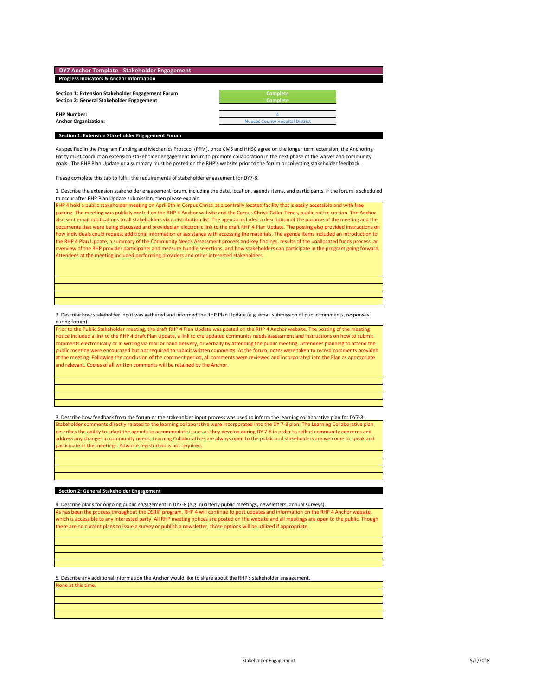| DY7 Anchor Template - Stakeholder Engagement      |                                        |  |
|---------------------------------------------------|----------------------------------------|--|
| Progress Indicators & Anchor Information          |                                        |  |
|                                                   |                                        |  |
| Section 1: Extension Stakeholder Engagement Forum | <b>Complete</b>                        |  |
| Section 2: General Stakeholder Engagement         | <b>Complete</b>                        |  |
|                                                   |                                        |  |
| <b>RHP Number:</b>                                |                                        |  |
| <b>Anchor Organization:</b>                       | <b>Nueces County Hospital District</b> |  |
|                                                   |                                        |  |
| Section 1: Extension Stakeholder Engagement Forum |                                        |  |

As specified in the Program Funding and Mechanics Protocol (PFM), once CMS and HHSC agree on the longer term extension, the Anchoring Entity must conduct an extension stakeholder engagement forum to promote collaboration in the next phase of the waiver and community goals. The RHP Plan Update or a summary must be posted on the RHP's website prior to the forum or collecting stakeholder feedback.

Please complete this tab to fulfill the requirements of stakeholder engagement for DY7‐8.

1. Describe the extension stakeholder engagement forum, including the date, location, agenda items, and participants. If the forum is scheduled it after RHP Plan Undate submit

| to occur urter nin i nun opuute submission, tiien picuse explum.                                                                                   |
|----------------------------------------------------------------------------------------------------------------------------------------------------|
| RHP 4 held a public stakeholder meeting on April 5th in Corpus Christi at a centrally located facility that is easily accessible and with free     |
| parking. The meeting was publicly posted on the RHP 4 Anchor website and the Corpus Christi Caller-Times, public notice section. The Anchor        |
| also sent email notifications to all stakeholders via a distribution list. The agenda included a description of the purpose of the meeting and the |
| documents that were being discussed and provided an electronic link to the draft RHP 4 Plan Update. The posting also provided instructions on      |
| how individuals could request additional information or assistance with accessing the materials. The agenda items included an introduction to      |
| the RHP 4 Plan Update, a summary of the Community Needs Assessment process and key findings, results of the unallocated funds process, an          |
| overview of the RHP provider participants and measure bundle selections, and how stakeholders can participate in the program going forward.        |
| Attendees at the meeting included performing providers and other interested stakeholders.                                                          |
|                                                                                                                                                    |
|                                                                                                                                                    |
|                                                                                                                                                    |
|                                                                                                                                                    |
|                                                                                                                                                    |
|                                                                                                                                                    |
|                                                                                                                                                    |
| 2. Describe how stakeholder input was gathered and informed the RHP Plan Update (e.g. email submission of public comments, responses               |
| during forum).                                                                                                                                     |
| Prior to the Public Stakeholder meeting, the draft RHP 4 Plan Update was posted on the RHP 4 Anchor website. The posting of the meeting            |
| notice included a link to the RHP 4 draft Plan Update, a link to the updated community needs assessment and instructions on how to submit          |
|                                                                                                                                                    |

comments electronically or in writing via mail or hand delivery, or verbally by attending the public meeting. Attendees planning to attend the ublic meeting were encouraged but not required to submit written comments. At the forum, notes were taken to record comments provided at the meeting. Following the conclusion of the comment period, all comments were reviewed and incorporated into the Plan as appropriate and relevant. Copies of all written comments will be retained by the Anchor.

er comments directly related to the learning collaborative were incorporated into the DY 7‐8 plan. The Learning Collaborative plan escribes the ability to adapt the agenda to accommodate issues as they develop during DY 7‐8 in order to reflect community concerns and ddress any changes in community needs. Learning Collaboratives are always open to the public and stakeholders are welcome to speak and articipate in the meetings. Advance registration is not required. 3. Describe how feedback from the forum or the stakeholder input process was used to inform the learning collaborative plan for DY7‐8.

**Section 2: General Stakeholder Engagement**

he RHP 4 Anchor w which is accessible to any interested party. All RHP meeting notices are posted on the website and all meetings are open to the public. Though here are no current plans to issue a survey or publish a newsletter, those options will be utilized if appropriate. 4. Describe plans for ongoing public engagement in DY7‐8 (e.g. quarterly public meetings, newsletters, annual surveys).

5. Describe any additional information the Anchor would like to share about the RHP's stakeholder engagement.

None at this time.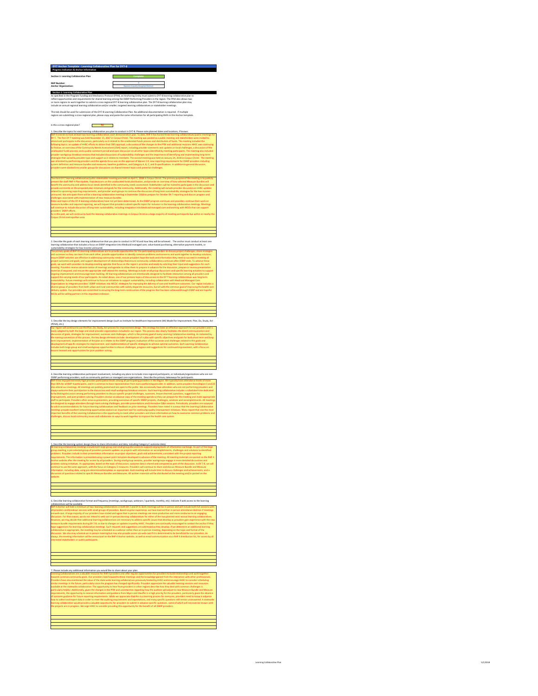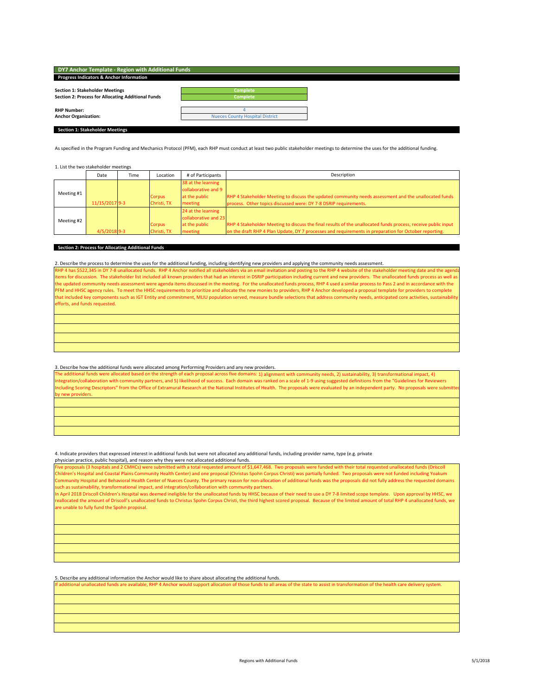| DY7 Anchor Template - Region with Additional Funds  |                                        |  |  |  |  |  |  |  |
|-----------------------------------------------------|----------------------------------------|--|--|--|--|--|--|--|
| <b>Progress Indicators &amp; Anchor Information</b> |                                        |  |  |  |  |  |  |  |
| <b>Section 1: Stakeholder Meetings</b>              | <b>Complete</b>                        |  |  |  |  |  |  |  |
| Section 2: Process for Allocating Additional Funds  | <b>Complete</b>                        |  |  |  |  |  |  |  |
| <b>RHP Number:</b>                                  |                                        |  |  |  |  |  |  |  |
| <b>Anchor Organization:</b>                         | <b>Nueces County Hospital District</b> |  |  |  |  |  |  |  |
|                                                     |                                        |  |  |  |  |  |  |  |

#### **Section 1: Stakeholder Meetings**

As specified in the Program Funding and Mechanics Protocol (PFM), each RHP must conduct at least two public stakeholder meetings to determine the uses for the additional funding.

1. List the two stakeholder meetings

|            | Date           | Time | Location      | # of Participants    | Description                                                                                                   |
|------------|----------------|------|---------------|----------------------|---------------------------------------------------------------------------------------------------------------|
|            |                |      |               | 38 at the learning   |                                                                                                               |
|            |                |      |               | collaborative and 9  |                                                                                                               |
| Meeting #1 |                |      | <b>Corpus</b> | at the public        | RHP 4 Stakeholder Meeting to discuss the updated community needs assessment and the unallocated funds         |
|            | 11/15/2017 9-3 |      | Christi, TX   | meeting              | process. Other topics discussed were: DY 7-8 DSRIP requirements.                                              |
|            |                |      |               | 24 at the learning   |                                                                                                               |
| Meeting #2 |                |      |               | collaborative and 23 |                                                                                                               |
|            |                |      | <b>Corpus</b> | at the public        | RHP 4 Stakeholder Meeting to discuss the final results of the unallocated funds process, receive public input |
|            | 4/5/2018 9-3   |      | Christi, TX   | meeting              | on the draft RHP 4 Plan Update, DY 7 processes and requirements in preparation for October reporting.         |

### **Section 2: Process for Allocating Additional Funds**

2. Describe the process to determine the uses for the additional funding, including identifying new providers and applying the community needs assessment.

RHP 4 has \$522,345 in DY 7-8 unallocated funds. RHP 4 Anchor notified all stakeholders via an email invitation and posting to the RHP 4 website of the stakeholder meeting date and the age tems for discussion. The stakeholder list included all known providers that had an interest in DSRIP participation including current and new providers. The unallocated funds process as well a ne updated community needs assessment were agenda items discussed in the meeting. For the unallocated funds process. RHP 4 used a similar process to Pass 2 and in accordance with the PFM and HHSC agency rules. To meet the HHSC requirements to prioritize and allocate the new monies to providers, RHP 4 Anchor developed a proposal template for providers to complete nat included key components such as IGT Entity and commitment, MLIU population served, measure bundle selections that address community needs, anticipated core activities, sustainability fforts, and funds requested.

#### 3. Describe how the additional funds were allocated among Performing Providers and any new providers.

funds were allocated based on the strength of each proposal across five domains: 1) alignment with community needs, 2) sustainability, 3) transformational impact, 4) tegration/collaboration with community partners, and 5) likelihood of success. Each domain was ranked on a scale of 1-9 using suggested definitions from the "Guidelines for Review cluding Scoring Descriptors" from the Office of Extramural Research at the National Institutes of Health. The proposals were evaluated by an independent party. No proposals were submitt by new providers.

4. Indicate providers that expressed interest in additional funds but were not allocated any additional funds, including provider name, type (e.g. private

physician practice, public hospital), and reason why they were not allocated additional funds. Five proposals (3 hospitals and 2 CMHCs) were submitted with a total requested amount of \$1,647,468. Two proposals were funded with their total requested unallocated funds (Driscoll Children's Hospital and Coastal Plains Community Health Center) and one proposal (Christus Spohn Corpus Christi) was partially funded. Two proposals were not funded including Yoakum **Community Hospital and Behavioral Health Center of Nueces County. The primary reason for non-allocation of additional funds was the proposals did not fully address the requested domains** uch as sustainability, transformational impact, and integration/collaboration with community partners.

In April 2018 Driscoll Children's Hospital was deemed ineligible for the unallocated funds by HHSC because of their need to use a DY 7‐8 limited scope template. Upon approval by HHSC, we eallocated the amount of Driscoll's unallocated funds to Christus Spohn Corpus Christi, the third highest scored proposal. Because of the limited amount of total RHP 4 unallocated funds, we re unable to fully fund the Spohn proposal.

5. Describe any additional information the Anchor would like to share about allocating the additional funds.<br>If additional unallocated funds are available, RHP 4 Anchor would support allocation of those funds to all areas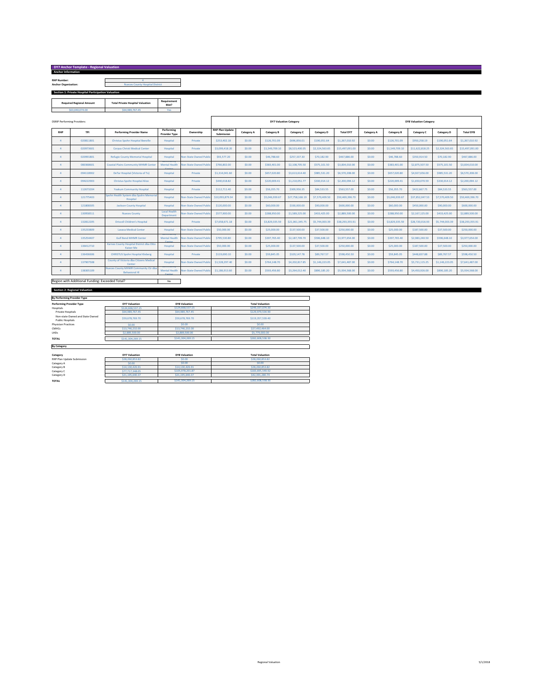#### **DY7 Anchor Template ‐ Regional Valuation Anchor Information**

 $\overline{E}$ **RHP Number: Anchor Organization:** Nueces County Hospital District

| Section 1: Private Hospital Participation Valuation |                                         |                     |
|-----------------------------------------------------|-----------------------------------------|---------------------|
| <b>Required Regional Amount</b>                     | <b>Total Private Hospital Valuation</b> | Requirement<br>Met? |
| \$63,040,074.00                                     | \$64,989,767.45                         | Vec                 |

| <b>DSRIP Performing Providers:</b> |            |                                                       |                                    | DY7 Valuation Category        |                                      |            |                |                 | <b>DY8 Valuation Category</b> |                  |            |                |                 |                |                  |
|------------------------------------|------------|-------------------------------------------------------|------------------------------------|-------------------------------|--------------------------------------|------------|----------------|-----------------|-------------------------------|------------------|------------|----------------|-----------------|----------------|------------------|
| <b>RHP</b>                         | <b>TPI</b> | <b>Performing Provider Name</b>                       | Performing<br><b>Provider Type</b> | Ownership                     | <b>RHP Plan Update</b><br>Submission | Category A | Category B     | Category C      | Category D                    | <b>Total DY7</b> | Category A | Category B     | Category C      | Category D     | <b>Total DY8</b> |
|                                    | 020811801  | Christus Spohn Hospital Beeville                      | Hospital                           | Private                       | \$253,402.18                         | SO.00      | \$126,701.09   | \$696,856.01    | \$190,051.64                  | S1.267.010.92    | \$0.00     | \$126,701.09   | \$950,258.19    | \$190,051.64   | \$1,267,010.92   |
|                                    | 020973601  | Corpus Christi Medical Center                         | Hospital                           | Private                       | \$3,099,418.20                       | SO.00      | \$1,549,709.10 | \$8,523,400.05  | \$2,324,563,65                | \$15,497,091.00  | \$0.00     | \$1,549,709.10 | \$11.622.818.25 | \$2,324,563,65 | \$15,497,091.00  |
|                                    | 020991801  | Refugio County Memorial Hospital                      | Hospital                           | Non-State Owned Publi         | S93.577.20                           | SO.00      | \$46,788.60    | \$257,337,30    | \$70,182.90                   | \$467,886.00     | \$0.00     | \$46,788.60    | \$350,914.50    | \$70,182.90    | \$467,886.00     |
|                                    | 080368601  | <b>Coastal Plains Community MHMR Center</b>           | Mental Health                      | Non-State Owned Publ          | \$766,802.00                         | SO.00      | \$383,401.00   | \$2,108,705.50  | \$575,101.50                  | \$3,834,010.00   | \$0.00     | \$383,401.00   | \$2,875,507.50  | \$575,101.50   | \$3,834,010.00   |
|                                    | 094118902  | DeTar Hospital (Victoria of Tx)                       | Hospital                           | Private                       | \$1,314,041.60                       | \$0.00     | \$657,020.80   | \$3,613,614.40  | \$985,531.20                  | S6.570.208.00    | \$0.00     | \$657,020.80   | \$4,927,656.00  | \$985,531.20   | \$6,570,208.00   |
|                                    | 094222903  | <b>Christus Spohn Hospital Alice</b>                  | Hospital                           | Private                       | S440.018.82                          | SO.00      | \$220,009.41   | \$1,210,051.77  | \$330.014.12                  | S2.200.094.12    | \$0.00     | \$220,009.41   | \$1,650,070.59  | \$330,014.12   | \$2,200,094.12   |
|                                    | 112673204  | <b>Yoakum Community Hospital</b>                      | Hospital                           | Private                       | S112,711.40                          | \$0.00     | \$56,355.70    | \$309,956.35    | \$84,533.55                   | \$563,557.00     | \$0.00     | \$56,355.70    | \$422,667.75    | \$84,533.55    | \$563,557.00     |
|                                    | 121775403  | ioohn Health System dba Soohn Memoria<br>Hospital     | Hospital                           | <b>Ion-State Owned Pub</b>    | \$10.093.879.34                      | \$0.00     | \$5,046,939.67 | \$27,758,168.19 | \$7,570,409.50                | \$50,469,396.70  | \$0.00     | \$5,046,939.67 | \$37,852,047.53 | \$7,570,409.50 | \$50,469,396.70  |
|                                    | 121808305  | <b>Jackson County Hospital</b>                        | Hospital                           | Non-State Owned Public        | \$120,000.00                         | \$0.00     | \$60,000.00    | \$330,000.00    | \$90,000.00                   | \$600,000.00     | \$0.00     | \$60,000.00    | \$450,000.00    | \$90,000.00    | \$600,000.00     |
|                                    | 130958511  | <b>Nueces County</b>                                  | Local Health<br>Department         | Non-State Owned Public        | \$577,900.00                         | SO.00      | \$288,950.00   | \$1,589,225.00  | \$433,425.00                  | \$2,889,500.00   | \$0.00     | \$288,950.00   | \$2,167,125.00  | \$433,425.00   | \$2,889,500.00   |
|                                    | 132812205  | <b>Driscoll Children's Hospital</b>                   | Hospital                           | Private                       | \$7,658,671.18                       | \$0.00     | \$3,829,335.59 | \$21.061.345.75 | \$5,744,003.39                | \$38,293,355.91  | \$0.00     | \$3,829,335.59 | \$28,720,016.93 | \$5,744,003.39 | \$38,293,355.91  |
|                                    | 135233809  | Lavaca Medical Center                                 | Hospital                           | <b>Ion-State Owned Publi</b>  | \$50,000.00                          | SO.00      | \$25,000.00    | \$137,500.00    | \$37,500.00                   | \$250,000.00     | \$0.00     | \$25,000.00    | \$187,500.00    | \$37,500.00    | \$250,000.00     |
|                                    | 135254407  | <b>Gulf Bend MHMR Center</b>                          | Mental Health                      | <b>Ion-State Owned Public</b> | \$795,530,80                         | \$0.00     | \$397,765.40   | \$2,187,709.70  | \$596,648.10                  | \$3,977,654.00   | \$0.00     | \$397,765.40   | \$2,983,240.50  | \$596,648.10   | \$3,977,654.00   |
|                                    | 136412710  | Karnes County Hospital District dba Otto<br>Kaiser Me | Hospital                           | <b>Ion-State Owned Publi</b>  | \$50,000.00                          | SO.00      | \$25,000.00    | \$137,500.00    | \$37,500.00                   | \$250,000.00     | \$0.00     | \$25,000.00    | \$187,500.00    | \$37,500.00    | \$250,000.00     |
|                                    | 136436606  | <b>CHRISTUS Spohn Hospital Kleberg</b>                | Hospital                           | Private                       | \$119,690.10                         | SO.00      | \$59,845.05    | S329.147.78     | \$89,767.57                   | \$598,450.50     | \$0.00     | \$59,845.05    | \$448,837.88    | \$89,767.57    | \$598,450.50     |
|                                    | 137907508  | County of Victoria dba Citizens Medical<br>Center     | Hospital                           | <b>Ion-State Owned Publ</b>   | \$1,528,297.40                       | \$0.00     | S764.148.70    | \$4,202,817.85  | \$1,146,223.05                | S7.641.487.00    | \$0.00     | \$764,148.70   | \$5,731,115.25  | \$1.146.223.05 | \$7,641,487.00   |
|                                    | 138305109  | Jueces County MHMR Community Ctr db<br>Behavioral HI  | Mental Health                      | <b>Ion-State Owned Public</b> | \$1,186,913.60                       | \$0.00     | \$593,456.80   | \$3,264,012.40  | \$890,185.20                  | \$5,934,568.00   | \$0.00     | \$593,456.80   | \$4,450,926.00  | \$890.185.20   | \$5,934,568.00   |

No Region with Additional Funding: Ex

| By Performing Provider Type                         |                  |                      |                        |
|-----------------------------------------------------|------------------|----------------------|------------------------|
| Performing Provider Type                            | DY7 Valuation    | <b>DY8 Valuation</b> | <b>Total Valuation</b> |
| Hospitals                                           | \$124,668,537.15 | \$124,668,537.15     | \$249.337.074.30       |
| Private Hospitals                                   | \$64,989,767.45  | \$64,989,767.45      | \$129.979.534.90       |
| Non-state Owned and State Owned<br>Public Hospitals | \$59,678,769.70  | \$59,678,769.70      | \$119.357.539.40       |
| <b>Physician Practices</b>                          | \$0.00           | SO.00                | \$0.00                 |
| <b>CMHCs</b>                                        | \$13,746,232.00  | \$13,746,232.00      | \$27,492,464.00        |
| LHDs                                                | \$2,889,500.00   | \$2,889,500.00       | \$5,779,000.00         |
| <b>TOTAL</b>                                        | \$141.304.269.15 | \$141.304.269.15     | \$282,608,538.30       |
| By Category                                         |                  |                      |                        |
| Category                                            | DY7 Valuation    | <b>DY8 Valuation</b> | <b>Total Valuation</b> |
| RHP Plan Update Submission                          | \$28,260,853.82  | SO.00                | \$28,260,853.82        |
|                                                     |                  |                      | <b>STATE OF STREET</b> |

 $\Box$ 

 $\Box$ 

| ן וטאָטובר                 |                  | <b>UIU VUINNAMI</b> |                  |
|----------------------------|------------------|---------------------|------------------|
| RHP Plan Update Submission | \$28,260,853,82  | \$0.00              | \$28,260,853,82  |
| Category A                 | \$0.00           | \$0.00              | \$0.00           |
| Category B                 | \$14,130,426.91  | \$14,130,426.91     | \$28,260,853,82  |
| Category C                 | \$77,717,348.05  | \$105.978.201.87    | \$183,695,549.92 |
| Category D                 | \$21.195.640.37  | \$21.195.640.37     | \$42.391.280.74  |
|                            |                  |                     |                  |
| <b>TOTAL</b>               | \$141.304.269.15 | \$141.304.269.15    | \$282,608,538.30 |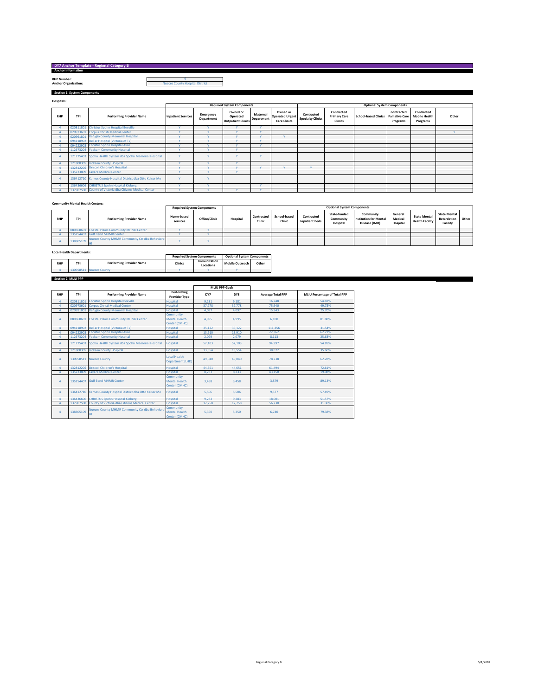**RHP Number: Anchor Organization:**

**DY7 Anchor Template ‐ Regional Category B Anchor Information**

 $\mathsf{L}$ 4 Nueces County Hospital District

**Section 1: System Components**

| Hospitals: |            |                                                              |                           |                         |                                                   |                        |                                                           |                                        |                                                     |                             |                                                  |                                                |       |
|------------|------------|--------------------------------------------------------------|---------------------------|-------------------------|---------------------------------------------------|------------------------|-----------------------------------------------------------|----------------------------------------|-----------------------------------------------------|-----------------------------|--------------------------------------------------|------------------------------------------------|-------|
|            |            |                                                              |                           |                         | <b>Required System Components</b>                 |                        |                                                           | <b>Optional System Components</b>      |                                                     |                             |                                                  |                                                |       |
| <b>RHP</b> | <b>TPI</b> | <b>Performing Provider Name</b>                              | <b>Inpatient Services</b> | Emergency<br>Department | Owned or<br>Operated<br><b>Outpatient Clinics</b> | Maternal<br>Department | Owned or<br><b>Operated Urgent</b><br><b>Care Clinics</b> | Contracted<br><b>Specialty Clinics</b> | Contracted<br><b>Primary Care</b><br><b>Clinics</b> | <b>School-based Clinics</b> | Contracted<br><b>Palliative Care</b><br>Programs | Contracted<br><b>Mobile Health</b><br>Programs | Other |
|            |            | 020811801 Christus Spohn Hospital Beeville                   |                           |                         |                                                   |                        |                                                           |                                        |                                                     |                             |                                                  |                                                |       |
|            |            | 020973601 Corpus Christi Medical Center                      |                           |                         |                                                   |                        |                                                           |                                        |                                                     |                             |                                                  |                                                |       |
|            |            | 020991801 Refugio County Memorial Hospital                   |                           |                         |                                                   |                        |                                                           |                                        |                                                     |                             |                                                  |                                                |       |
|            |            | 094118902 DeTar Hospital (Victoria of Tx)                    |                           |                         |                                                   |                        |                                                           |                                        |                                                     |                             |                                                  |                                                |       |
|            |            | 094222903 Christus Spohn Hospital Alice                      |                           |                         |                                                   |                        |                                                           |                                        |                                                     |                             |                                                  |                                                |       |
|            |            | 112673204 Yoakum Community Hospital                          |                           |                         |                                                   |                        |                                                           |                                        |                                                     |                             |                                                  |                                                |       |
|            |            | 121775403 Spohn Health System dba Spohn Memorial Hospital    |                           |                         |                                                   |                        |                                                           |                                        |                                                     |                             |                                                  |                                                |       |
|            |            | 121808305 Jackson County Hospital                            |                           |                         |                                                   |                        |                                                           |                                        |                                                     |                             |                                                  |                                                |       |
|            |            | 132812205 Driscoll Children's Hospital                       |                           |                         |                                                   |                        |                                                           |                                        |                                                     |                             |                                                  |                                                |       |
|            |            | 135233809 Lavaca Medical Center                              |                           |                         |                                                   |                        |                                                           |                                        |                                                     |                             |                                                  |                                                |       |
|            |            | 136412710 Karnes County Hospital District dba Otto Kaiser Me |                           |                         |                                                   |                        |                                                           |                                        |                                                     |                             |                                                  |                                                |       |
|            |            | 136436606 CHRISTUS Spohn Hospital Kleberg                    |                           |                         |                                                   |                        |                                                           |                                        |                                                     |                             |                                                  |                                                |       |
|            |            | 137907508 County of Victoria dba Citizens Medical Center     |                           |                         |                                                   |                        |                                                           |                                        |                                                     |                             |                                                  |                                                |       |

### **Community Mental Health Centers:**

|            | <b>Community Mental Health Centers:</b> |                                                 |                        |                                   |          |                      |                        |                                     |                                       |                                                             |                                |                                               |                                                       |       |
|------------|-----------------------------------------|-------------------------------------------------|------------------------|-----------------------------------|----------|----------------------|------------------------|-------------------------------------|---------------------------------------|-------------------------------------------------------------|--------------------------------|-----------------------------------------------|-------------------------------------------------------|-------|
|            |                                         |                                                 |                        | <b>Required System Components</b> |          |                      |                        |                                     | <b>Optional System Components</b>     |                                                             |                                |                                               |                                                       |       |
| <b>RHP</b> | TPI                                     | <b>Performing Provider Name</b>                 | Home-based<br>services | Office/Clinic                     | Hospital | Contracted<br>Clinic | School-based<br>Clinic | Contracted<br><b>Inpatient Beds</b> | State-funded<br>Community<br>Hospital | Community<br><b>Institution for Mental</b><br>Disease (IMD) | General<br>Medical<br>Hospital | <b>State Mental</b><br><b>Health Facility</b> | <b>State Mental</b><br>Retardation<br><b>Facility</b> | Other |
|            |                                         | 080368601 Coastal Plains Community MHMR Center  |                        |                                   |          |                      |                        |                                     |                                       |                                                             |                                |                                               |                                                       |       |
|            |                                         | 135254407 Gulf Bend MHMR Center                 |                        |                                   |          |                      |                        |                                     |                                       |                                                             |                                |                                               |                                                       |       |
|            | 138305109                               | Nueces County MHMR Community Ctr dba Behavioral |                        |                                   |          |                      |                        |                                     |                                       |                                                             |                                |                                               |                                                       |       |

#### **Local Health Departments:**

**Section 2: MLIU PPP**

|            |          |                                 |                | <b>Required System Components</b> | Optional System Components |       |
|------------|----------|---------------------------------|----------------|-----------------------------------|----------------------------|-------|
| <b>RHP</b> | TPI      | <b>Performing Provider Name</b> | <b>Clinics</b> | Immunization<br>Locations         | <b>Mobile Outreach</b>     | Other |
|            | 30958511 | Nueces County                   |                |                                   |                            |       |
|            |          |                                 |                |                                   |                            |       |

|                |            |                                                        |                                                    |        | <b>MLIU PPP Goals</b> |                          |                                     |
|----------------|------------|--------------------------------------------------------|----------------------------------------------------|--------|-----------------------|--------------------------|-------------------------------------|
| <b>RHP</b>     | <b>TPI</b> | <b>Performing Provider Name</b>                        | Performing<br><b>Provider Type</b>                 | DY7    | DY8                   | <b>Average Total PPP</b> | <b>MLIU Percentage of Total PPP</b> |
| $\Delta$       | 020811801  | <b>Christus Spohn Hospital Beeville</b>                | Hospital                                           | 9.181  | 9.181                 | 16.748                   | 54.82%                              |
| $\Delta$       | 020973601  | <b>Corpus Christi Medical Center</b>                   | Hospital                                           | 37.778 | 37.778                | 75,940                   | 49.75%                              |
| $\Delta$       | 020991801  | <b>Refugio County Memorial Hospital</b>                | Hospital                                           | 4.097  | 4,097                 | 15.943                   | 25.70%                              |
| $\overline{a}$ | 080368601  | <b>Coastal Plains Community MHMR Center</b>            | Community<br><b>Mental Health</b><br>Center (CMHC) | 4.995  | 4.995                 | 6.100                    | 81.88%                              |
| $\Delta$       | 094118902  | <b>DeTar Hospital (Victoria of Tx)</b>                 | <b>Hospital</b>                                    | 35.122 | 35.122                | 111.356                  | 31.54%                              |
| $\Delta$       | 094222903  | <b>Christus Spohn Hospital Alice</b>                   | Hospital                                           | 13.910 | 13.910                | 22.362                   | 62.21%                              |
| $\Delta$       | 112673204  | <b>Yoakum Community Hospital</b>                       | <b>Hospital</b>                                    | 2,079  | 2,079                 | 8,113                    | 25.63%                              |
| $\Delta$       | 121775403  | Spohn Health System dba Spohn Memorial Hospital        | <b>Hospital</b>                                    | 52,103 | 52.103                | 94.997                   | 54.85%                              |
| $\Delta$       | 121808305  | <b>Jackson County Hospital</b>                         | Hospital                                           | 13.554 | 13.554                | 38.072                   | 35.60%                              |
| $\Delta$       | 130958511  | <b>Nueces County</b>                                   | <b>Local Health</b><br><b>Department (LHD)</b>     | 49.040 | 49.040                | 78.738                   | 62.28%                              |
| $\Delta$       | 132812205  | <b>Driscoll Children's Hospital</b>                    | Hospital                                           | 44.651 | 44.651                | 61.494                   | 72.61%                              |
| $\Lambda$      | 135233809  | <b>Lavaca Medical Center</b>                           | Hospital                                           | 8.233  | 8.233                 | 43.150                   | 19.08%                              |
| $\Delta$       | 135254407  | <b>Gulf Rend MHMR Center</b>                           | Community<br><b>Mental Health</b><br>Center (CMHC) | 3.458  | 3.458                 | 3.879                    | 89.13%                              |
| $\Delta$       | 136412710  | Karnes County Hospital District dba Otto Kaiser Me     | <b>Hospital</b>                                    | 5.506  | 5.506                 | 9.577                    | 57.49%                              |
| $\Delta$       | 136436606  | <b>CHRISTUS Spohn Hospital Kleberg</b>                 | Hospital                                           | 9.283  | 9.283                 | 18.001                   | 51.57%                              |
| $\Delta$       | 137907508  | <b>County of Victoria dba Citizens Medical Center</b>  | <b>Hospital</b>                                    | 17.758 | 17.758                | 56,730                   | 31.30%                              |
| Λ              | 138305109  | <b>Nueces County MHMR Community Ctr dba Behavioral</b> | Community<br><b>Mental Health</b><br>Center (CMHC) | 5.350  | 5,350                 | 6.740                    | 79.38%                              |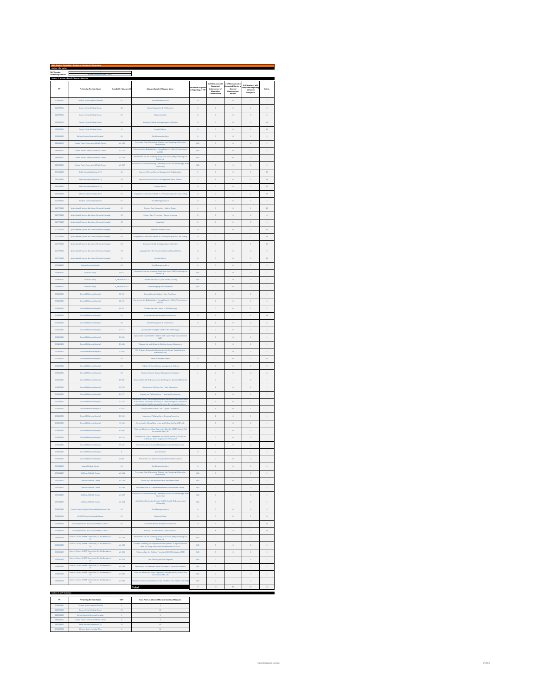| Anchor info                                |                                                       |                          |                                                                                                                                                                                                                                      |                                   |                                                                 |                                                              |                                                                 |                          |
|--------------------------------------------|-------------------------------------------------------|--------------------------|--------------------------------------------------------------------------------------------------------------------------------------------------------------------------------------------------------------------------------------|-----------------------------------|-----------------------------------------------------------------|--------------------------------------------------------------|-----------------------------------------------------------------|--------------------------|
| <b>RHP Number:</b><br>Anchor Organization: | Section 1: Measure Euridie/Measure Selection          |                          |                                                                                                                                                                                                                                      |                                   |                                                                 |                                                              |                                                                 |                          |
|                                            |                                                       |                          |                                                                                                                                                                                                                                      |                                   |                                                                 | r of M                                                       |                                                                 |                          |
| TPL.                                       | <b>Performing Provider Name</b>                       | die ID / Measure ID      | Measure Bundle / Measure Name                                                                                                                                                                                                        | of PECOLRe<br>or Reporting as P4P | f of Measures wit<br>Requested<br>Achievement of<br>Alternative | of Measures wit<br>quested Shorter<br>Delayed<br>Measurement | e of Measures wi<br>lequested Report<br>Milestone<br>Exemptions | Points                   |
|                                            |                                                       |                          |                                                                                                                                                                                                                                      |                                   | Denominators                                                    | Periods                                                      |                                                                 |                          |
| 020811801                                  | <b>Christus Spohn Hospital Beeville</b>               | $\mathbf{m}$             | <b>Rural Preventive Care</b>                                                                                                                                                                                                         | $\circ$                           | $\circ$                                                         | $\circ$                                                      | $\circ$                                                         | $\bar{a}$                |
| 020973601                                  | <b>Corpus Christi Medical Center</b>                  | 82                       | Patient Navigation & ED Diversion                                                                                                                                                                                                    | ò.                                | $\circ$                                                         | $\circ$                                                      | $\circ$                                                         | $\epsilon$               |
| montan                                     | Corpus Christi Medical Cente                          | $\Omega$                 | Maternal Safety                                                                                                                                                                                                                      | $\circ$                           | $\circ$                                                         | $\circ$                                                      | $\circ$                                                         | ä,                       |
| 020973601                                  | Corpus Christi Medical Cente                          | 10                       | <b>Rehavioral Health and Appropriate Utilization</b>                                                                                                                                                                                 | $\circ$                           | $\circ$                                                         | $\circ$                                                      | $\circ$                                                         | $\bar{\mathbf{H}}$       |
| 020973601                                  | Corpus Christi Medical Center                         | $\,$ $\,$ $\,$ $\,$      | <b>Hospital Safety</b>                                                                                                                                                                                                               | $\circ$                           | $\circ$                                                         | $\circ$                                                      | $\circ$                                                         | $10$                     |
| 020991801                                  | Refugio County Mem                                    | $\bar{\mathbf{u}}$       | <b>Rural Press</b><br><b>Die Care</b>                                                                                                                                                                                                | $\circ$                           | $\circ$                                                         | $\circ$                                                      | $\circ$                                                         | $\bar{\bf 1}$            |
| 080368601                                  | <b>Coastal Plains Cor</b><br><b>Sty MHMR Cer</b>      | M1-105                   | Preventive Care & Screening: Tobacco Use: Screening & Cesa                                                                                                                                                                           | N/A                               | $\circ$                                                         | $\circ$                                                      | ö                                                               | $\bar{\bf{z}}$           |
| 080368601                                  | Coastal Plains Community MHMR Center                  | $M1-115$                 | Comprehensive Diabetes Care: Hemoglobin A1c (HbA1c) Poor Contro<br>(>0.010)                                                                                                                                                          | N/A                               | $\bullet$                                                       | $\circ$                                                      | $\circ$                                                         | $\,$ $\,$                |
| 080368601                                  | <b>Coastal Plains Community MHMR Cent</b>             | M1-147                   | eventive Care and Screening: Body Mass Index (BMI) Screening as<br>Follow-live                                                                                                                                                       | N/A                               | ö                                                               | $\circ$                                                      | ö                                                               |                          |
| 000368601                                  | Coastal Plains Community MHMR Center                  | M1-317                   | eventive Care and Screening: Unhealthy Alcohol Use: Screening & Bri<br>Courseling                                                                                                                                                    | N/A                               | $\circ$                                                         | $\circ$                                                      | $\circ$                                                         | $\bar{z}$                |
| 094118902                                  | DeTar Hospital (Victoria of Tx)                       | $\bar{\text{A}}\text{I}$ | Improved Chronic Disease Management: Diabetes Care                                                                                                                                                                                   | $\bar{z}$                         | $\circ$                                                         | $\circ$                                                      | $\circ$                                                         | $^{\rm 19}$              |
| 094118902                                  | DeTar Hospital (Victoria of Tx)                       | $\lambda 2$              | Improved Chronic Disease Management: Heart Disease                                                                                                                                                                                   | $\bar{z}$                         | $\,$ $\,$                                                       | $\circ$                                                      | $\bar{1}$                                                       | $\overline{\mathbf{16}}$ |
| 094118902                                  | DeTar Hospital (Victoria of Tx)                       |                          |                                                                                                                                                                                                                                      | ö                                 | $\circ$                                                         |                                                              | ö                                                               | $\mathbf{10}$            |
|                                            |                                                       | $\bar{n}$                | <b>Hospital Safet</b>                                                                                                                                                                                                                |                                   |                                                                 | $\circ$                                                      |                                                                 |                          |
| 094222903                                  | Christus Spohn Hospital Alice                         | $\overline{\rm{H}}$      | Integration of Behavioral Health in a Primary or Specialty Care Setti                                                                                                                                                                | $\circ$                           | $\circ$                                                         | $\bar{z}$                                                    | $\bar{\mathbf{z}}$                                              | $\Omega$                 |
| 112672204                                  | <b>Yoakum Community Hospital</b>                      | $\Omega$                 | <b>Rural Emergency Care</b>                                                                                                                                                                                                          | $\circ$                           | $\circ$                                                         | $\circ$                                                      | $\circ$                                                         | $\bar{a}$                |
| 121775403                                  | Spohn Health System dba Spohn Memorial H              | $_{\rm G}$               | Primary Care Prevention - Healthy Texans                                                                                                                                                                                             | $\mathbf{r}$                      | $\circ$                                                         | $\circ$                                                      | $\circ$                                                         | 16                       |
| 121775403                                  | Spohn Health System dba Spohn Mem                     | $\alpha$                 | Primary Care Prevention - Cancer Screen                                                                                                                                                                                              | $\circ$                           | $\circ$                                                         | $\circ$                                                      | $\circ$                                                         | $\epsilon$               |
| 121775403                                  | ahn Health System dba Spahn Mer                       | $\alpha$                 | <b>Hepatitis</b>                                                                                                                                                                                                                     | o                                 | $\circ$                                                         | $\circ$                                                      | $\circ$                                                         | $\bar{a}$                |
| 121775403                                  | Spohn Health System dba Spohn Memorial Hospital       | $\Omega$                 | <b>Improved Maternal Care</b>                                                                                                                                                                                                        | $\circ$                           | $\circ$                                                         | $\circ$                                                      | $\circ$                                                         | $10\,$                   |
| 121775403                                  | n das Spohn Me                                        | ĸ                        | uith in a Primary or Sp<br>n of Behavi<br>clairy Care S                                                                                                                                                                              | o                                 | $\circ$                                                         | $\bar{\mathrm{i}}$                                           |                                                                 | 12                       |
| 121775403                                  | th System dba Spohn Me                                | 10                       | Behavioral Health and Appropriate Utilia                                                                                                                                                                                             | £,                                | $\circ$                                                         | $\bar{z}$                                                    | $\bar{\mathrm{i}}$                                              | $\mathbf{s}$             |
| 121775403                                  | Spohn Health System dba Spohn Memorial Hospital       | $_{\rm HI}$              | Integrated Care for People with Serious Mental Illnes                                                                                                                                                                                | $\circ$                           | $\circ$                                                         | $\circ$                                                      | $\circ$                                                         | $\mathfrak{s}$           |
| 121775403                                  | in Health System dba Spohn Me                         | $\,$ $\,$ $\,$           | <b>Hospital Safety</b>                                                                                                                                                                                                               | $\circ$                           | $\circ$                                                         | $\circ$                                                      | $\circ$                                                         | 10                       |
| 121808305                                  | <b>Include County Hospi</b>                           | $\mathbf{r}$             | <b>Rural Emergency Care</b>                                                                                                                                                                                                          | $\circ$                           | ö                                                               | $\circ$                                                      | ö                                                               | ä                        |
| 120958511                                  |                                                       |                          |                                                                                                                                                                                                                                      |                                   |                                                                 |                                                              |                                                                 |                          |
|                                            | <b>Nunces County</b>                                  | $11 - 147$               | Preventive Care and Screening: Body Mass Index (BMI) Screening and<br>Follow-Lin                                                                                                                                                     | N/A                               | $\circ$                                                         | $\circ$                                                      | $\circ$                                                         | $\bar{\rm i}$            |
| 130958511                                  | <b>Nunces County</b>                                  | 4_120958505.3.2          | Diabetes care: HbA1c poor control (>9.0%)                                                                                                                                                                                            | N/A                               | $\circ$                                                         | $\circ$                                                      | $\circ$                                                         | $\,$ $\,$                |
| 130958511                                  | <b>Nueces County</b>                                  | 4,130685053.5            | Controlling high blood pressure                                                                                                                                                                                                      | N/A                               | $\circ$                                                         | $\circ$                                                      | $\circ$                                                         | $\bar{\bf 1}$            |
| 132812205                                  | <b>Driscoll Children's Hospital</b>                   | $A1-112$                 | Comprehensive Diabetes Care: Foot Exam                                                                                                                                                                                               |                                   | $\circ$                                                         | $\pm$                                                        | $\bar{\rm i}$                                                   | $\bar{1}$                |
| 132812205                                  | <b>Driscoll Children's Hospital</b>                   | $A1-115$                 | Comprehensive Diabetes Care: Hernoglobin A1c (HbA1c) Poor Contr<br>[>9.0%]                                                                                                                                                           |                                   | $\circ$                                                         | $\circ$                                                      | $\bar{\mathbf{r}}$                                              | $\bar{a}$                |
| 132812205                                  | <b>Driscoll Children's Hospital</b>                   | A1-207                   | Diabetes care: BP control (<560/90mm Hg)                                                                                                                                                                                             |                                   | $\circ$                                                         | $\circ$                                                      | $\bar{\rm i}$                                                   | $\bar{\bf 1}$            |
| 122812205                                  | <b>Driscoll Children's Hospital</b>                   | $\mathbf{H}$             | Care Transitions & Hospital Read                                                                                                                                                                                                     | ö                                 | $\bar{z}$                                                       | $\bar{z}$                                                    | k,                                                              | $\bar{\mathbf{H}}$       |
| 132812205                                  | <b>Driscoll Children's Hospital</b>                   | $\alpha$                 | Patient Navigation & ED Divers                                                                                                                                                                                                       | $\circ$                           | $\bar{z}$                                                       | $\circ$                                                      | $\bar{\bf{z}}$                                                  | ć                        |
| 132812205                                  | <b>Driscoll Children's Hospital</b>                   | 01-212                   | Appropriate Testing for Children With Pharyngitis                                                                                                                                                                                    |                                   | $\bullet$                                                       | $\circ$                                                      | $\circ$                                                         | $\,$ $\,$                |
| 132812205                                  | Driucoll Children's Hospital                          | 01-284                   | Appropriate Treatment for Children with Upper Respi                                                                                                                                                                                  |                                   | ö                                                               | $\circ$                                                      | ö                                                               |                          |
|                                            |                                                       |                          |                                                                                                                                                                                                                                      |                                   |                                                                 |                                                              |                                                                 |                          |
| 132812205                                  | <b>Driscoll Children's Hospital</b>                   | 01-600                   | Tobacco Use and Help with Quitting Among Adolescent                                                                                                                                                                                  |                                   | $\circ$                                                         | $\circ$                                                      | $\circ$                                                         | $\bar{1}$                |
| 132812205                                  | Driscoll Children's Hospital                          | 01-503                   | PDI 91 Acute Composite (Gastroenteritis, Lininary Tract Infect<br>Admission Rate)                                                                                                                                                    |                                   | $\circ$                                                         | $\circ$                                                      | $\circ$                                                         | $\bar{\epsilon}$         |
| 132812205                                  | <b>Driscoll Children's Hospital</b>                   | $_{\rm m}$               | <b>Pediatric Hospital Safety</b>                                                                                                                                                                                                     | $\circ$                           | $\circ$                                                         | $\circ$                                                      | $\circ$                                                         | $10\,$                   |
| 132812205                                  | <b>Driscoll Children's Hospital</b>                   | $\mathbf{p}$             | <b>Pediatric Chronic Disease Manag</b><br>nt: Asthi                                                                                                                                                                                  | ä,                                | $\circ$                                                         | $\circ$                                                      | ö                                                               | $\mathfrak{s}$           |
| 132812205                                  | Driscoll Children's Hospital                          | $\alpha$                 | Pediatric Chronic Disease Management: Diabetes                                                                                                                                                                                       | $\mathbf{r}$                      | $\circ$                                                         | $\circ$                                                      | $\ddot{\bullet}$                                                | $\pm$                    |
| 132812205                                  | <b>Driscoll Children's Hospital</b>                   | 11-200                   | ioral Health Risk Assessment (for Pregnant Women) (EHRA-CH)                                                                                                                                                                          |                                   | $\circ$                                                         | $\,$ i                                                       | $\circ$                                                         | $\bar{\mathbf{r}}$       |
| 132812205                                  | <b>Driscoll Children's Hospital</b>                   | 61-276                   | Haspice and Palliative Care - Pain Assess                                                                                                                                                                                            |                                   | $\bar{\mathbf{1}}$                                              | $\circ$                                                      | $\bar{\mathbf{r}}$                                              | $\bar{\mathbf{1}}$       |
| 132812205                                  | <b>Driscoll Children's Hospital</b>                   | $61-277$                 | Hospice and Palliative Care - Treatment Prefer                                                                                                                                                                                       |                                   | $\bar{1}$                                                       | $\circ$                                                      | $\mathbf{r}$                                                    | $\bar{1}$                |
| 132812205                                  | <b>Driscoll Children's Hospital</b>                   | 61-278                   | eliefs and Values - Percentage of hospice pati<br>In the clinical record of a discussion of spirits                                                                                                                                  |                                   | $\,$                                                            | $\circ$                                                      | $\bar{\mathbf{1}}$                                              | $\bar{\mathbf{r}}$       |
| 132812205                                  | <b>Driscoll Children's Hospital</b>                   | $61-362$                 | Hospice and Pallistive Care - Dyspons Treatment                                                                                                                                                                                      |                                   | $\mathbf{1}$                                                    | $\circ$                                                      | $\mathbf{1}$                                                    | $\mathbf{1}$             |
| 132812201                                  | <b>Driucoll Children's Hospit</b>                     | 61-363                   | Hospice and Palliative Care - Dyspnes Scr                                                                                                                                                                                            |                                   |                                                                 | $\circ$                                                      |                                                                 |                          |
|                                            |                                                       |                          | Screening for Clinical Depression and Follow-Up Plan (CDF-AD)                                                                                                                                                                        |                                   |                                                                 |                                                              |                                                                 |                          |
| 132812205                                  | <b>Driscoll Children's Hospital</b>                   | H1-145                   |                                                                                                                                                                                                                                      |                                   | $\circ$                                                         | $\circ$                                                      | $\circ$                                                         | $\bar{\mathbf{r}}$       |
| 132812205                                  | <b>Driscoll Children's Hospital</b>                   | 102-305                  | Child and Adolescent Major Depressive Disorder (MDD): Suicide Risk<br>Assessment (SRA-CH)                                                                                                                                            |                                   | $\circ$                                                         | $\circ$                                                      | $\circ$                                                         | $\bar{\mathbf{r}}$       |
| 132812205                                  | <b>Driscoll Children's Hospital</b>                   | 83-144                   | <b>Screening for Clinical Depression and Follow-Up Plan (CDF-AD) for<br/>Individuals with a diagnosis of chronic pain</b>                                                                                                            |                                   | $\circ$                                                         | $\circ$                                                      | $\circ$                                                         | $\bar{\mathbf{r}}$       |
| 132812205                                  | <b>Drivool Children's Hospita</b>                     | 83-287                   | Docs<br>rtation of Current Medications in the Medical Record                                                                                                                                                                         |                                   | $\circ$                                                         | $\circ$                                                      | ö                                                               | $\bar{\mathrm{i}}$       |
| 132812205                                  | Driscoll Children's Hospital                          | $\mathbf{u}$             | Specialty Care                                                                                                                                                                                                                       | $\circ$                           | $\circ$                                                         | $\bar{z}$                                                    | $\bar{z}$                                                       | $\bar{z}$                |
| 132812205                                  | <b>Driscoll Children's Hospital</b>                   | $11-269$                 | Preventive Care and Screening: Infla                                                                                                                                                                                                 |                                   | $\circ$                                                         | $\circ$                                                      | $\circ$                                                         | $\mathbf{1}$             |
| 135233809                                  | Lausca Medical Center                                 | $_{\rm H}$               | <b>Rural Preventive Care</b>                                                                                                                                                                                                         | $\circ$                           | $\bar{4}$                                                       | $\circ$                                                      | $\circ$                                                         | ¢                        |
| 135254407                                  | Gulf Bend MHMR Center                                 | $M1-105$                 | Preventive Care & Screening: Tobacco Use: Screening & Cessation<br>Intervention                                                                                                                                                      | N/A                               | $\bullet$                                                       | $\Delta$                                                     | $\circ$                                                         | $\bar{z}$                |
| 135254407                                  | Gulf Bend MHMR Center                                 | M1-160                   | Fallow-Up After Hospitalization for Mental Biness                                                                                                                                                                                    | $N/A$                             | $\circ$                                                         | $\circ$                                                      | $\circ$                                                         | $\mathbf{r}$             |
| 13525407                                   | Gulf Bend MHMR Center                                 | $M1-287$                 | Documentation of Current Medications in the Medical Record                                                                                                                                                                           | $\bar{N}/\bar{A}$                 | $\bullet$                                                       | $\mathbf{r}$                                                 | $\circ$                                                         | $\mathbf{z}$             |
| 135254407                                  |                                                       | M1-317                   | revertive Care and Screening: Unhealthy Alcohol Use: Screening & Bri<br>Counseling                                                                                                                                                   | $N/\bar{A}$                       | $\circ$                                                         | $\mathbf{r}$                                                 | $\circ$                                                         | $\bar{z}$                |
|                                            | Gulf Bend MHMR Center                                 |                          |                                                                                                                                                                                                                                      |                                   |                                                                 |                                                              |                                                                 |                          |
| 135254407                                  | Gulf Bend MHMR Center                                 | M1-319                   | Adult Major Depressive Disorder (MDD): Suicide Risk Assessment<br>$\label{eq:1} (eMeanarr)$                                                                                                                                          | $N/\bar{A}$                       | $\circ$                                                         | $\bar{1}$                                                    | $\ddot{\bullet}$                                                | $\bar{\mathbf{z}}$       |
| 136412710                                  | Karnes County Hospital District dba Otto Kaluer Me    | $-12$                    | <b>Contract Constitution Canada Canada Canada Canada Canada Canada Canada Canada Canada Canada Canada Canada Canada Canada Canada Canada Canada Canada Canada Canada Canada Canada Canada Canada Canada Canada Canada Canada Can</b> | $\bullet$                         | $\bullet$                                                       | $\bullet$                                                    | $\bullet$                                                       | $\mathbf{a}_i$           |
| 136436606                                  | OHRISTUS Spohn Hospital Kieberg                       | $\Omega$                 | -<br>Maternal Safety                                                                                                                                                                                                                 | $\circ$                           | $\circ$                                                         | $\circ$                                                      | $\mathbf{r}$                                                    | $\mathbf{r}$             |
| 137907508                                  | County of Victoria das Citizens Medical Center        | $\mathbf{m}$             | Care Transitions & Hospital Ready                                                                                                                                                                                                    | $\bullet$                         | $\tau$                                                          | $\mathfrak{s}$                                               | $\ddot{\bullet}$                                                | $\pm1$                   |
| 137907508                                  | County of Victoria das Otioers Medical Center         | $\alpha$                 | Primary Care Prevention - Healthy Texans                                                                                                                                                                                             | $\mathbf{r}$                      | $\mathbf{r}$                                                    | $\mathfrak{g}$                                               | $\tau$                                                          | $_{\rm 16}$              |
| 138305109                                  | isseces County MHMR Community Ctr dbs Rehaviors<br>IE | $M1-147$                 | Proventive Care and Screening: Body Mass Index (BMI) Screening and<br>Follow-Up                                                                                                                                                      | N/A                               | $\bullet$                                                       | $\pm$                                                        | $\circ$                                                         | $\mathbf{r}$             |
| 138305109                                  | <b>aces County MHMR Community Ctr dba Rehavior</b>    | $M1-182$                 | Clabetes Screening for People With Schizophrenia or Ripolar Disorder<br>Who Are Using Antipsychotic Medications (SSD-AD)                                                                                                             | $N/\bar{A}$                       | $\circ$                                                         | $\circ$                                                      | $\circ$                                                         | $\bar{z}$                |
| 138305109                                  | Nueces County MHARR Community Ctr dbs Rehaviors<br>HI | $M1-255$                 | Follow-up Care for Children Prescribed ADHD Medication (ADD)                                                                                                                                                                         | $N/A$                             | $\bullet$                                                       | $\circ$                                                      | $\circ$                                                         | $\mathbf{a}$             |
| 120205109                                  | iseces County MHMR Community Ctr dbs Rehavior.<br>HI  |                          |                                                                                                                                                                                                                                      |                                   |                                                                 |                                                              |                                                                 |                          |
|                                            |                                                       | M1-257                   | $\label{eq:decomp} \textbf{Case} \textbf{ළ} \textbf{Period} \textbf{ for } \textbf{Dual } \textbf{C}{\textbf{Supp} } \textbf{col}$                                                                                                   | $N/A$                             | $\circ$                                                         | $\mathbf{r}$                                                 | $\circ$                                                         | $\bar{1}$                |
| 138305109                                  | eces County MHMR Community Ctr dba Beh                | $M1-261$                 | Assessment for Substance Abuse Problems of Psychiatric Patients                                                                                                                                                                      | $N/\bar{A}$                       | $\circ$                                                         | $\bar{1}$                                                    | $\ddot{\bullet}$                                                | $\bar{\mathbf{z}}$       |
| 138305109                                  | Nueces County MHMR Community Ctr dba Rehav<br>H       | $M1-305$                 | Child and Adolescent Major Depressive Disorder (MDD): Suicide Risk<br>Assessment (SRA-CH)                                                                                                                                            | N/A                               | $\bullet$                                                       | $\pm$                                                        | $\circ$                                                         | $\bar{z}$                |
| 138305109                                  | ueces County MHMR Community Ctr dba lie<br>H          | M1-385                   | ent of Functional Status or QoL (Modified from NQF# 0360/3624                                                                                                                                                                        | $N/\bar{A}$                       | $\circ$                                                         | $\bar{1}$                                                    | $\circ$                                                         | $\bar{1}$                |
|                                            |                                                       |                          | <b>Total</b>                                                                                                                                                                                                                         | $\mathfrak g$                     | $_{\rm 29}$                                                     | $\overline{\mathcal{M}}$                                     | 29                                                              | $_{\rm 235}$             |

| TPI       | <b>Performing Provider Name</b>      | MPT          | Total Points in Selected Measure Bundles / Measures |
|-----------|--------------------------------------|--------------|-----------------------------------------------------|
| 020811901 | Christus Spohn Hospital Benulle      |              |                                                     |
| 020922401 | Corpus Christi Medical Center        | 3t           | 3C                                                  |
| 020991901 | Refusio County Memorial Hospital     |              |                                                     |
| CROSSEDS  | Coastal Plains Community MHMR Center |              |                                                     |
| 094118902 | DeTar Hospital (Victoria of Tx)      | $\mathbf{r}$ | $\overline{AB}$                                     |
| 094222903 | Christus Spohn Hospital Alice        |              | <b>D</b>                                            |

Regional Category C Summary 5/1/2018

**Section 2: MPT Summary**